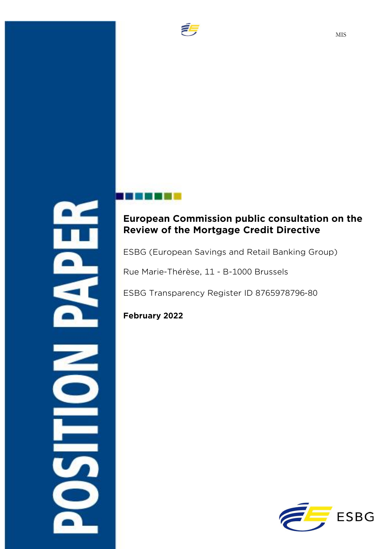

# **European Commission public consultation on the Review of the Mortgage Credit Directive**

ESBG (European Savings and Retail Banking Group)

Rue Marie-Thérèse, 11 - B-1000 Brussels

ESBG Transparency Register ID 8765978796-80

**February 2022** 

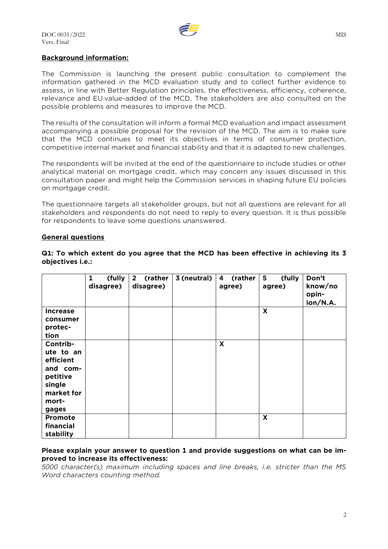

#### **Background information:**

The Commission is launching the present public consultation to complement the information gathered in the MCD evaluation study and to collect further evidence to assess, in line with Better Regulation principles, the effectiveness, efficiency, coherence, relevance and EU value-added of the MCD. The stakeholders are also consulted on the possible problems and measures to improve the MCD.

The results of the consultation will inform a formal MCD evaluation and impact assessment accompanying a possible proposal for the revision of the MCD. The aim is to make sure that the MCD continues to meet its objectives in terms of consumer protection, competitive internal market and financial stability and that it is adapted to new challenges.

The respondents will be invited at the end of the questionnaire to include studies or other analytical material on mortgage credit, which may concern any issues discussed in this consultation paper and might help the Commission services in shaping future EU policies on mortgage credit.

The questionnaire targets all stakeholder groups, but not all questions are relevant for all stakeholders and respondents do not need to reply to every question. It is thus possible for respondents to leave some questions unanswered.

#### **General questions**

|                 | (fully<br>1<br>disagree) | (rather<br>$2^{\circ}$<br>disagree) | 3 (neutral) | (rather<br>4<br>agree) | (fully<br>5<br>agree) | Don't<br>know/no<br>opin-<br>ion/N.A. |
|-----------------|--------------------------|-------------------------------------|-------------|------------------------|-----------------------|---------------------------------------|
| <b>Increase</b> |                          |                                     |             |                        | X                     |                                       |
| consumer        |                          |                                     |             |                        |                       |                                       |
| protec-         |                          |                                     |             |                        |                       |                                       |
| tion            |                          |                                     |             |                        |                       |                                       |
| Contrib-        |                          |                                     |             | X                      |                       |                                       |
| ute to an       |                          |                                     |             |                        |                       |                                       |
| efficient       |                          |                                     |             |                        |                       |                                       |
| and com-        |                          |                                     |             |                        |                       |                                       |
| petitive        |                          |                                     |             |                        |                       |                                       |
| single          |                          |                                     |             |                        |                       |                                       |
| market for      |                          |                                     |             |                        |                       |                                       |
| mort-           |                          |                                     |             |                        |                       |                                       |
| gages           |                          |                                     |             |                        |                       |                                       |
| Promote         |                          |                                     |             |                        | X                     |                                       |
| financial       |                          |                                     |             |                        |                       |                                       |
| stability       |                          |                                     |             |                        |                       |                                       |

**Q1: To which extent do you agree that the MCD has been effective in achieving its 3 objectives i.e.:**

#### **Please explain your answer to question 1 and provide suggestions on what can be improved to increase its effectiveness:**

*5000 character(s) maximum including spaces and line breaks, i.e. stricter than the MS Word characters counting method.*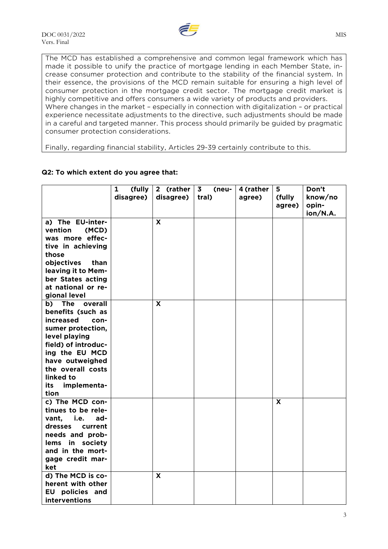

The MCD has established a comprehensive and common legal framework which has made it possible to unify the practice of mortgage lending in each Member State, increase consumer protection and contribute to the stability of the financial system. In their essence, the provisions of the MCD remain suitable for ensuring a high level of consumer protection in the mortgage credit sector. The mortgage credit market is highly competitive and offers consumers a wide variety of products and providers. Where changes in the market – especially in connection with digitalization – or practical experience necessitate adjustments to the directive, such adjustments should be made in a careful and targeted manner. This process should primarily be guided by pragmatic consumer protection considerations.

Finally, regarding financial stability, Articles 29-39 certainly contribute to this.

|                          | (fully<br>$\mathbf{1}$ | 2 (rather   | 3 <sub>z</sub><br>(neu- | 4 (rather | 5                       | Don't    |
|--------------------------|------------------------|-------------|-------------------------|-----------|-------------------------|----------|
|                          | disagree)              | disagree)   | tral)                   | agree)    | (fully                  | know/no  |
|                          |                        |             |                         |           | agree)                  | opin-    |
|                          |                        |             |                         |           |                         | ion/N.A. |
| a) The EU-inter-         |                        | X           |                         |           |                         |          |
| vention<br>(MCD)         |                        |             |                         |           |                         |          |
| was more effec-          |                        |             |                         |           |                         |          |
| tive in achieving        |                        |             |                         |           |                         |          |
| those                    |                        |             |                         |           |                         |          |
| objectives<br>than       |                        |             |                         |           |                         |          |
| leaving it to Mem-       |                        |             |                         |           |                         |          |
| ber States acting        |                        |             |                         |           |                         |          |
| at national or re-       |                        |             |                         |           |                         |          |
| gional level             |                        |             |                         |           |                         |          |
| The<br>b)<br>overall     |                        | $\mathbf x$ |                         |           |                         |          |
| benefits (such as        |                        |             |                         |           |                         |          |
| <b>increased</b><br>con- |                        |             |                         |           |                         |          |
| sumer protection,        |                        |             |                         |           |                         |          |
| level playing            |                        |             |                         |           |                         |          |
| field) of introduc-      |                        |             |                         |           |                         |          |
| ing the EU MCD           |                        |             |                         |           |                         |          |
| have outweighed          |                        |             |                         |           |                         |          |
| the overall costs        |                        |             |                         |           |                         |          |
| linked to                |                        |             |                         |           |                         |          |
| implementa-<br>its       |                        |             |                         |           |                         |          |
| tion                     |                        |             |                         |           |                         |          |
| c) The MCD con-          |                        |             |                         |           | $\overline{\mathbf{x}}$ |          |
| tinues to be rele-       |                        |             |                         |           |                         |          |
| vant, i.e.<br>ad-        |                        |             |                         |           |                         |          |
| dresses<br>current       |                        |             |                         |           |                         |          |
| needs and prob-          |                        |             |                         |           |                         |          |
| lems in society          |                        |             |                         |           |                         |          |
| and in the mort-         |                        |             |                         |           |                         |          |
| gage credit mar-         |                        |             |                         |           |                         |          |
| ket                      |                        |             |                         |           |                         |          |
| d) The MCD is co-        |                        | X           |                         |           |                         |          |
| herent with other        |                        |             |                         |           |                         |          |
| <b>EU</b> policies and   |                        |             |                         |           |                         |          |
| interventions            |                        |             |                         |           |                         |          |

## **Q2: To which extent do you agree that:**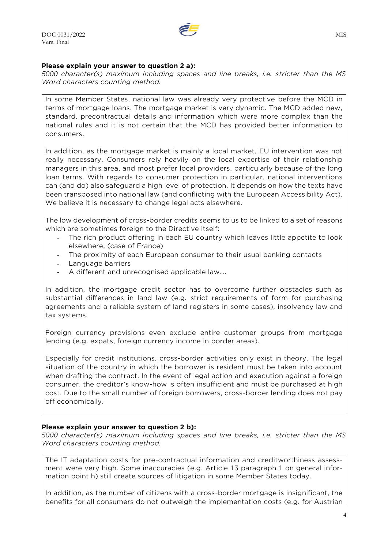## **Please explain your answer to question 2 a):**

*5000 character(s) maximum including spaces and line breaks, i.e. stricter than the MS Word characters counting method.*

In some Member States, national law was already very protective before the MCD in terms of mortgage loans. The mortgage market is very dynamic. The MCD added new, standard, precontractual details and information which were more complex than the national rules and it is not certain that the MCD has provided better information to consumers.

In addition, as the mortgage market is mainly a local market, EU intervention was not really necessary. Consumers rely heavily on the local expertise of their relationship managers in this area, and most prefer local providers, particularly because of the long loan terms. With regards to consumer protection in particular, national interventions can (and do) also safeguard a high level of protection. It depends on how the texts have been transposed into national law (and conflicting with the European Accessibility Act). We believe it is necessary to change legal acts elsewhere.

The low development of cross-border credits seems to us to be linked to a set of reasons which are sometimes foreign to the Directive itself:

- The rich product offering in each EU country which leaves little appetite to look elsewhere, (case of France)
- The proximity of each European consumer to their usual banking contacts
- Language barriers
- A different and unrecognised applicable law....

In addition, the mortgage credit sector has to overcome further obstacles such as substantial differences in land law (e.g. strict requirements of form for purchasing agreements and a reliable system of land registers in some cases), insolvency law and tax systems.

Foreign currency provisions even exclude entire customer groups from mortgage lending (e.g. expats, foreign currency income in border areas).

Especially for credit institutions, cross-border activities only exist in theory. The legal situation of the country in which the borrower is resident must be taken into account when drafting the contract. In the event of legal action and execution against a foreign consumer, the creditor's know-how is often insufficient and must be purchased at high cost. Due to the small number of foreign borrowers, cross-border lending does not pay off economically.

## **Please explain your answer to question 2 b):**

*5000 character(s) maximum including spaces and line breaks, i.e. stricter than the MS Word characters counting method.*

The IT adaptation costs for pre-contractual information and creditworthiness assessment were very high. Some inaccuracies (e.g. Article 13 paragraph 1 on general information point h) still create sources of litigation in some Member States today.

In addition, as the number of citizens with a cross-border mortgage is insignificant, the benefits for all consumers do not outweigh the implementation costs (e.g. for Austrian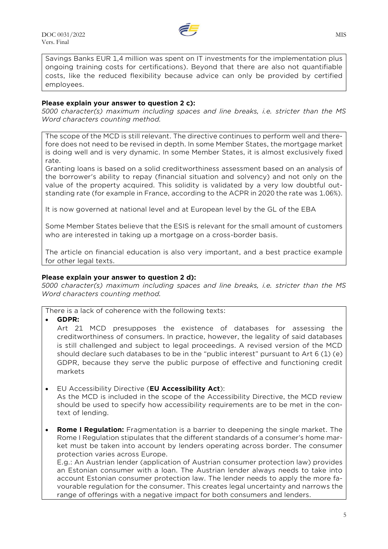

Savings Banks EUR 1,4 million was spent on IT investments for the implementation plus ongoing training costs for certifications). Beyond that there are also not quantifiable costs, like the reduced flexibility because advice can only be provided by certified employees.

## **Please explain your answer to question 2 c):**

*5000 character(s) maximum including spaces and line breaks, i.e. stricter than the MS Word characters counting method.*

The scope of the MCD is still relevant. The directive continues to perform well and therefore does not need to be revised in depth. In some Member States, the mortgage market is doing well and is very dynamic. In some Member States, it is almost exclusively fixed rate.

Granting loans is based on a solid creditworthiness assessment based on an analysis of the borrower's ability to repay (financial situation and solvency) and not only on the value of the property acquired. This solidity is validated by a very low doubtful outstanding rate (for example in France, according to the ACPR in 2020 the rate was 1.06%).

It is now governed at national level and at European level by the GL of the EBA

Some Member States believe that the ESIS is relevant for the small amount of customers who are interested in taking up a mortgage on a cross-border basis.

The article on financial education is also very important, and a best practice example for other legal texts.

#### **Please explain your answer to question 2 d):**

*5000 character(s) maximum including spaces and line breaks, i.e. stricter than the MS Word characters counting method.*

There is a lack of coherence with the following texts:

• **GDPR:** 

Art 21 MCD presupposes the existence of databases for assessing the creditworthiness of consumers. In practice, however, the legality of said databases is still challenged and subject to legal proceedings. A revised version of the MCD should declare such databases to be in the "public interest" pursuant to Art 6 (1) (e) GDPR, because they serve the public purpose of effective and functioning credit markets

- EU Accessibility Directive (**EU Accessibility Act**): As the MCD is included in the scope of the Accessibility Directive, the MCD review should be used to specify how accessibility requirements are to be met in the context of lending.
- **Rome I Regulation:** Fragmentation is a barrier to deepening the single market. The Rome I Regulation stipulates that the different standards of a consumer's home market must be taken into account by lenders operating across border. The consumer protection varies across Europe.

E.g.: An Austrian lender (application of Austrian consumer protection law) provides an Estonian consumer with a loan. The Austrian lender always needs to take into account Estonian consumer protection law. The lender needs to apply the more favourable regulation for the consumer. This creates legal uncertainty and narrows the range of offerings with a negative impact for both consumers and lenders.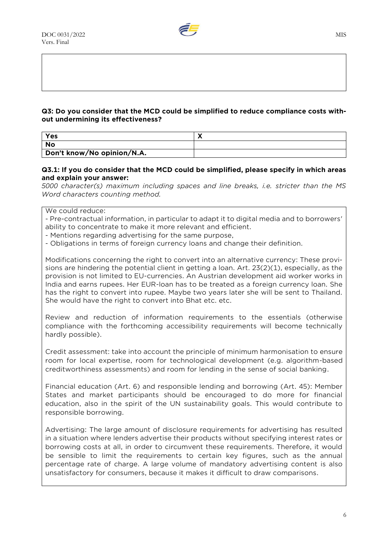

## **Q3: Do you consider that the MCD could be simplified to reduce compliance costs without undermining its effectiveness?**

| Yes                        |  |
|----------------------------|--|
| <b>No</b>                  |  |
| Don't know/No opinion/N.A. |  |

## **Q3.1: If you do consider that the MCD could be simplified, please specify in which areas and explain your answer:**

*5000 character(s) maximum including spaces and line breaks, i.e. stricter than the MS Word characters counting method.*

We could reduce:

- Pre-contractual information, in particular to adapt it to digital media and to borrowers' ability to concentrate to make it more relevant and efficient.

- Mentions regarding advertising for the same purpose,

- Obligations in terms of foreign currency loans and change their definition.

Modifications concerning the right to convert into an alternative currency: These provisions are hindering the potential client in getting a loan. Art. 23(2)(1), especially, as the provision is not limited to EU-currencies. An Austrian development aid worker works in India and earns rupees. Her EUR-loan has to be treated as a foreign currency loan. She has the right to convert into rupee. Maybe two years later she will be sent to Thailand. She would have the right to convert into Bhat etc. etc.

Review and reduction of information requirements to the essentials (otherwise compliance with the forthcoming accessibility requirements will become technically hardly possible).

Credit assessment: take into account the principle of minimum harmonisation to ensure room for local expertise, room for technological development (e.g. algorithm-based creditworthiness assessments) and room for lending in the sense of social banking.

Financial education (Art. 6) and responsible lending and borrowing (Art. 45): Member States and market participants should be encouraged to do more for financial education, also in the spirit of the UN sustainability goals. This would contribute to responsible borrowing.

Advertising: The large amount of disclosure requirements for advertising has resulted in a situation where lenders advertise their products without specifying interest rates or borrowing costs at all, in order to circumvent these requirements. Therefore, it would be sensible to limit the requirements to certain key figures, such as the annual percentage rate of charge. A large volume of mandatory advertising content is also unsatisfactory for consumers, because it makes it difficult to draw comparisons.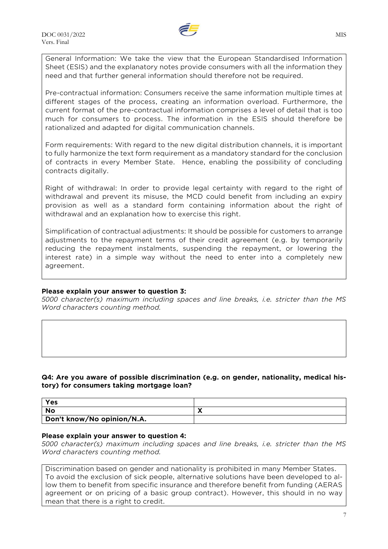

General Information: We take the view that the European Standardised Information Sheet (ESIS) and the explanatory notes provide consumers with all the information they need and that further general information should therefore not be required.

Pre-contractual information: Consumers receive the same information multiple times at different stages of the process, creating an information overload. Furthermore, the current format of the pre-contractual information comprises a level of detail that is too much for consumers to process. The information in the ESIS should therefore be rationalized and adapted for digital communication channels.

Form requirements: With regard to the new digital distribution channels, it is important to fully harmonize the text form requirement as a mandatory standard for the conclusion of contracts in every Member State. Hence, enabling the possibility of concluding contracts digitally.

Right of withdrawal: In order to provide legal certainty with regard to the right of withdrawal and prevent its misuse, the MCD could benefit from including an expiry provision as well as a standard form containing information about the right of withdrawal and an explanation how to exercise this right.

Simplification of contractual adjustments: It should be possible for customers to arrange adjustments to the repayment terms of their credit agreement (e.g. by temporarily reducing the repayment instalments, suspending the repayment, or lowering the interest rate) in a simple way without the need to enter into a completely new agreement.

## **Please explain your answer to question 3:**

*5000 character(s) maximum including spaces and line breaks, i.e. stricter than the MS Word characters counting method.*

## **Q4: Are you aware of possible discrimination (e.g. on gender, nationality, medical history) for consumers taking mortgage loan?**

| Yes                        |   |
|----------------------------|---|
| <b>No</b>                  | - |
| Don't know/No opinion/N.A. |   |

## **Please explain your answer to question 4:**

*5000 character(s) maximum including spaces and line breaks, i.e. stricter than the MS Word characters counting method.*

Discrimination based on gender and nationality is prohibited in many Member States. To avoid the exclusion of sick people, alternative solutions have been developed to allow them to benefit from specific insurance and therefore benefit from funding (AERAS agreement or on pricing of a basic group contract). However, this should in no way mean that there is a right to credit.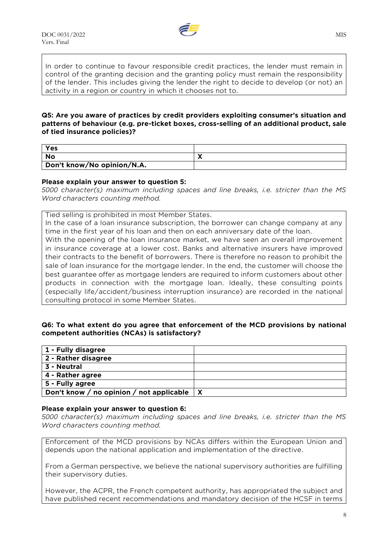

In order to continue to favour responsible credit practices, the lender must remain in control of the granting decision and the granting policy must remain the responsibility of the lender. This includes giving the lender the right to decide to develop (or not) an activity in a region or country in which it chooses not to.

## **Q5: Are you aware of practices by credit providers exploiting consumer's situation and patterns of behaviour (e.g. pre-ticket boxes, cross-selling of an additional product, sale of tied insurance policies)?**

| <b>Yes</b>                 |  |
|----------------------------|--|
| <b>No</b>                  |  |
| Don't know/No opinion/N.A. |  |

## **Please explain your answer to question 5:**

*5000 character(s) maximum including spaces and line breaks, i.e. stricter than the MS Word characters counting method.*

Tied selling is prohibited in most Member States.

In the case of a loan insurance subscription, the borrower can change company at any time in the first year of his loan and then on each anniversary date of the loan.

With the opening of the loan insurance market, we have seen an overall improvement in insurance coverage at a lower cost. Banks and alternative insurers have improved their contracts to the benefit of borrowers. There is therefore no reason to prohibit the sale of loan insurance for the mortgage lender. In the end, the customer will choose the best guarantee offer as mortgage lenders are required to inform customers about other products in connection with the mortgage loan. Ideally, these consulting points (especially life/accident/business interruption insurance) are recorded in the national consulting protocol in some Member States.

## **Q6: To what extent do you agree that enforcement of the MCD provisions by national competent authorities (NCAs) is satisfactory?**

| 1 - Fully disagree                       |   |
|------------------------------------------|---|
| 2 - Rather disagree                      |   |
| 3 - Neutral                              |   |
| 4 - Rather agree                         |   |
| 5 - Fully agree                          |   |
| Don't know / no opinion / not applicable | X |

#### **Please explain your answer to question 6:**

*5000 character(s) maximum including spaces and line breaks, i.e. stricter than the MS Word characters counting method.*

Enforcement of the MCD provisions by NCAs differs within the European Union and depends upon the national application and implementation of the directive.

From a German perspective, we believe the national supervisory authorities are fulfilling their supervisory duties.

However, the ACPR, the French competent authority, has appropriated the subject and have published recent recommendations and mandatory decision of the HCSF in terms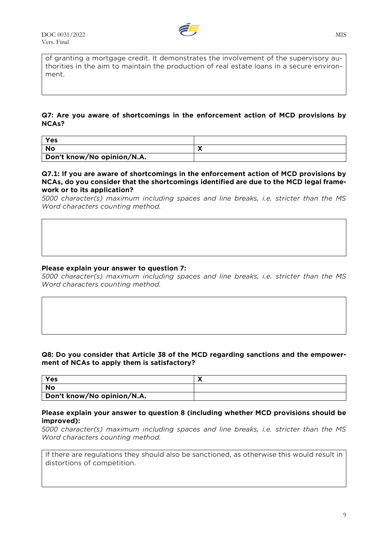

of granting a mortgage credit. It demonstrates the involvement of the supervisory authorities in the aim to maintain the production of real estate loans in a secure environment.

## **Q7: Are you aware of shortcomings in the enforcement action of MCD provisions by NCAs?**

| Yes                        |  |
|----------------------------|--|
| No                         |  |
| Don't know/No opinion/N.A. |  |

#### **Q7.1: If you are aware of shortcomings in the enforcement action of MCD provisions by NCAs, do you consider that the shortcomings identified are due to the MCD legal framework or to its application?**

*5000 character(s) maximum including spaces and line breaks, i.e. stricter than the MS Word characters counting method.*

## **Please explain your answer to question 7:**

*5000 character(s) maximum including spaces and line breaks, i.e. stricter than the MS Word characters counting method.*

## **Q8: Do you consider that Article 38 of the MCD regarding sanctions and the empowerment of NCAs to apply them is satisfactory?**

| Yes                        |  |
|----------------------------|--|
| No                         |  |
| Don't know/No opinion/N.A. |  |

#### **Please explain your answer to question 8 (including whether MCD provisions should be improved):**

*5000 character(s) maximum including spaces and line breaks, i.e. stricter than the MS Word characters counting method.*

If there are regulations they should also be sanctioned, as otherwise this would result in distortions of competition.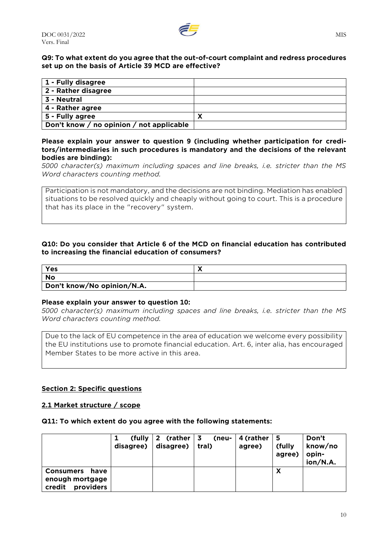

## **Q9: To what extent do you agree that the out-of-court complaint and redress procedures set up on the basis of Article 39 MCD are effective?**

| 1 - Fully disagree                       |   |
|------------------------------------------|---|
| 2 - Rather disagree                      |   |
| 3 - Neutral                              |   |
| 4 - Rather agree                         |   |
| 5 - Fully agree                          | Y |
| Don't know / no opinion / not applicable |   |

## **Please explain your answer to question 9 (including whether participation for creditors/intermediaries in such procedures is mandatory and the decisions of the relevant bodies are binding):**

*5000 character(s) maximum including spaces and line breaks, i.e. stricter than the MS Word characters counting method.*

Participation is not mandatory, and the decisions are not binding. Mediation has enabled situations to be resolved quickly and cheaply without going to court. This is a procedure that has its place in the "recovery" system.

## **Q10: Do you consider that Article 6 of the MCD on financial education has contributed to increasing the financial education of consumers?**

| Yes                        |  |
|----------------------------|--|
| No                         |  |
| Don't know/No opinion/N.A. |  |

## **Please explain your answer to question 10:**

*5000 character(s) maximum including spaces and line breaks, i.e. stricter than the MS Word characters counting method.*

Due to the lack of EU competence in the area of education we welcome every possibility the EU institutions use to promote financial education. Art. 6, inter alia, has encouraged Member States to be more active in this area.

## **Section 2: Specific questions**

## **2.1 Market structure / scope**

#### **Q11: To which extent do you agree with the following statements:**

|                                        | (tully<br>disagree) | 2 (rather $\vert$ 3<br>disagree) | (neu-<br>tral) | 4 (rather<br>agree) | <b>15</b><br>(fully<br>agree) | Don't<br>know/no<br>opin-<br>ion/N.A. |
|----------------------------------------|---------------------|----------------------------------|----------------|---------------------|-------------------------------|---------------------------------------|
| <b>Consumers</b><br>have               |                     |                                  |                |                     | X                             |                                       |
| enough mortgage<br>credit<br>providers |                     |                                  |                |                     |                               |                                       |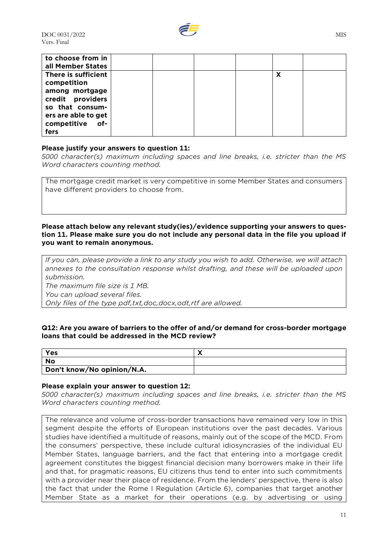

| to choose from in   |  |  |   |  |
|---------------------|--|--|---|--|
| all Member States   |  |  |   |  |
| There is sufficient |  |  | X |  |
| competition         |  |  |   |  |
| among mortgage      |  |  |   |  |
| credit providers    |  |  |   |  |
| so that consum-     |  |  |   |  |
| ers are able to get |  |  |   |  |
| competitive of-     |  |  |   |  |
| fers                |  |  |   |  |

## **Please justify your answers to question 11:**

*5000 character(s) maximum including spaces and line breaks, i.e. stricter than the MS Word characters counting method.*

The mortgage credit market is very competitive in some Member States and consumers have different providers to choose from.

#### **Please attach below any relevant study(ies)/evidence supporting your answers to question 11. Please make sure you do not include any personal data in the file you upload if you want to remain anonymous.**

*If you can, please provide a link to any study you wish to add. Otherwise, we will attach annexes to the consultation response whilst drafting, and these will be uploaded upon submission. The maximum file size is 1 MB.*

*You can upload several files.*

*Only files of the type pdf,txt,doc,docx,odt,rtf are allowed.*

## **Q12: Are you aware of barriers to the offer of and/or demand for cross-border mortgage loans that could be addressed in the MCD review?**

| Yes                        |  |
|----------------------------|--|
| <b>No</b>                  |  |
| Don't know/No opinion/N.A. |  |

#### **Please explain your answer to question 12:**

*5000 character(s) maximum including spaces and line breaks, i.e. stricter than the MS Word characters counting method.*

The relevance and volume of cross-border transactions have remained very low in this segment despite the efforts of European institutions over the past decades. Various studies have identified a multitude of reasons, mainly out of the scope of the MCD. From the consumers' perspective, these include cultural idiosyncrasies of the individual EU Member States, language barriers, and the fact that entering into a mortgage credit agreement constitutes the biggest financial decision many borrowers make in their life and that, for pragmatic reasons, EU citizens thus tend to enter into such commitments with a provider near their place of residence. From the lenders' perspective, there is also the fact that under the Rome I Regulation (Article 6), companies that target another Member State as a market for their operations (e.g. by advertising or using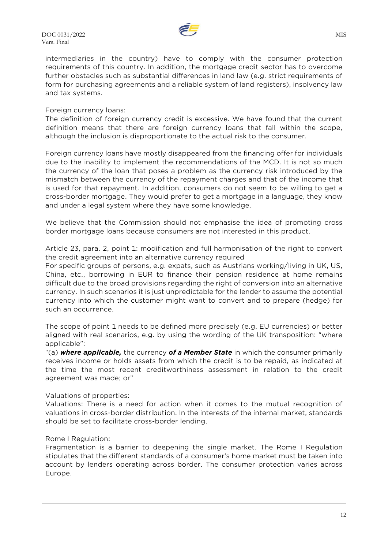

intermediaries in the country) have to comply with the consumer protection requirements of this country. In addition, the mortgage credit sector has to overcome further obstacles such as substantial differences in land law (e.g. strict requirements of form for purchasing agreements and a reliable system of land registers), insolvency law and tax systems.

## Foreign currency loans:

The definition of foreign currency credit is excessive. We have found that the current definition means that there are foreign currency loans that fall within the scope, although the inclusion is disproportionate to the actual risk to the consumer.

Foreign currency loans have mostly disappeared from the financing offer for individuals due to the inability to implement the recommendations of the MCD. It is not so much the currency of the loan that poses a problem as the currency risk introduced by the mismatch between the currency of the repayment charges and that of the income that is used for that repayment. In addition, consumers do not seem to be willing to get a cross-border mortgage. They would prefer to get a mortgage in a language, they know and under a legal system where they have some knowledge.

We believe that the Commission should not emphasise the idea of promoting cross border mortgage loans because consumers are not interested in this product.

Article 23, para. 2, point 1: modification and full harmonisation of the right to convert the credit agreement into an alternative currency required

For specific groups of persons, e.g. expats, such as Austrians working/living in UK, US, China, etc., borrowing in EUR to finance their pension residence at home remains difficult due to the broad provisions regarding the right of conversion into an alternative currency. In such scenarios it is just unpredictable for the lender to assume the potential currency into which the customer might want to convert and to prepare (hedge) for such an occurrence.

The scope of point 1 needs to be defined more precisely (e.g. EU currencies) or better aligned with real scenarios, e.g. by using the wording of the UK transposition: "where applicable":

"(a) *where applicable,* the currency *of a Member State* in which the consumer primarily receives income or holds assets from which the credit is to be repaid, as indicated at the time the most recent creditworthiness assessment in relation to the credit agreement was made; or"

## Valuations of properties:

Valuations: There is a need for action when it comes to the mutual recognition of valuations in cross-border distribution. In the interests of the internal market, standards should be set to facilitate cross-border lending.

## Rome I Regulation:

Fragmentation is a barrier to deepening the single market. The Rome I Regulation stipulates that the different standards of a consumer's home market must be taken into account by lenders operating across border. The consumer protection varies across Europe.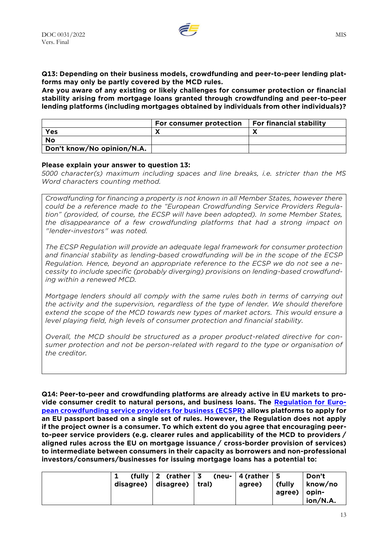

**Q13: Depending on their business models, crowdfunding and peer-to-peer lending platforms may only be partly covered by the MCD rules.**

**Are you aware of any existing or likely challenges for consumer protection or financial stability arising from mortgage loans granted through crowdfunding and peer-to-peer lending platforms (including mortgages obtained by individuals from other individuals)?**

|                            | For consumer protection | For financial stability |
|----------------------------|-------------------------|-------------------------|
| <b>Yes</b>                 |                         |                         |
| No                         |                         |                         |
| Don't know/No opinion/N.A. |                         |                         |

#### **Please explain your answer to question 13:**

*5000 character(s) maximum including spaces and line breaks, i.e. stricter than the MS Word characters counting method.*

*Crowdfunding for financing a property is not known in all Member States, however there could be a reference made to the "European Crowdfunding Service Providers Regulation" (provided, of course, the ECSP will have been adopted). In some Member States, the disappearance of a few crowdfunding platforms that had a strong impact on "lender-investors" was noted.*

*The ECSP Regulation will provide an adequate legal framework for consumer protection and financial stability as lending-based crowdfunding will be in the scope of the ECSP Regulation. Hence, beyond an appropriate reference to the ECSP we do not see a necessity to include specific (probably diverging) provisions on lending-based crowdfunding within a renewed MCD.*

*Mortgage lenders should all comply with the same rules both in terms of carrying out the activity and the supervision, regardless of the type of lender. We should therefore extend the scope of the MCD towards new types of market actors. This would ensure a level playing field, high levels of consumer protection and financial stability.*

*Overall, the MCD should be structured as a proper product-related directive for consumer protection and not be person-related with regard to the type or organisation of the creditor.*

**Q14: Peer-to-peer and crowdfunding platforms are already active in EU markets to provide consumer credit to natural persons, and business loans. The [Regulation for Euro](https://eur-lex.europa.eu/legal-content/EN/TXT/?uri=CELEX:32020R1503)[pean crowdfunding service providers for business \(ECSPR\)](https://eur-lex.europa.eu/legal-content/EN/TXT/?uri=CELEX:32020R1503) allows platforms to apply for an EU passport based on a single set of rules. However, the Regulation does not apply if the project owner is a consumer. To which extent do you agree that encouraging peerto-peer service providers (e.g. clearer rules and applicability of the MCD to providers / aligned rules across the EU on mortgage issuance / cross-border provision of services) to intermediate between consumers in their capacity as borrowers and non-professional investors/consumers/businesses for issuing mortgage loans has a potential to:**

|  | (fully $2$ (rather $3$ (neu- $4$ (rather $5$<br>disagree)   disagree)   tral) |  | agree) | $\int$ (fully<br>  agree)   opin- | Don't<br>∣know∕no<br>$\mid$ ion/N.A. |
|--|-------------------------------------------------------------------------------|--|--------|-----------------------------------|--------------------------------------|
|--|-------------------------------------------------------------------------------|--|--------|-----------------------------------|--------------------------------------|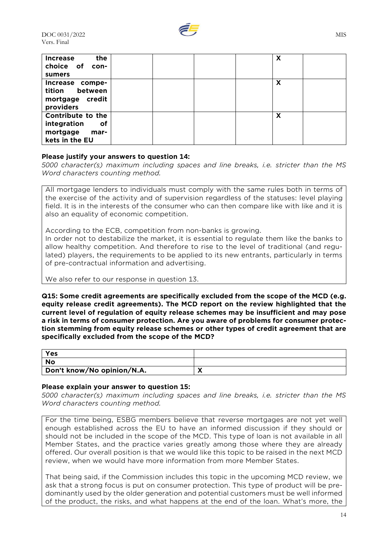

| the<br><b>Increase</b><br>choice of<br>con-<br>sumers                        |  |  | X |  |
|------------------------------------------------------------------------------|--|--|---|--|
| Increase compe-<br>between<br>tition<br>mortgage credit<br>providers         |  |  | X |  |
| Contribute to the<br>integration<br>оf<br>mortgage<br>mar-<br>kets in the EU |  |  | X |  |

## **Please justify your answers to question 14:**

*5000 character(s) maximum including spaces and line breaks, i.e. stricter than the MS Word characters counting method.*

All mortgage lenders to individuals must comply with the same rules both in terms of the exercise of the activity and of supervision regardless of the statuses: level playing field. It is in the interests of the consumer who can then compare like with like and it is also an equality of economic competition.

According to the ECB, competition from non-banks is growing.

In order not to destabilize the market, it is essential to regulate them like the banks to allow healthy competition. And therefore to rise to the level of traditional (and regulated) players, the requirements to be applied to its new entrants, particularly in terms of pre-contractual information and advertising.

We also refer to our response in question 13.

**Q15: Some credit agreements are specifically excluded from the scope of the MCD (e.g. equity release credit agreements). The MCD report on the review highlighted that the current level of regulation of equity release schemes may be insufficient and may pose a risk in terms of consumer protection. Are you aware of problems for consumer protection stemming from equity release schemes or other types of credit agreement that are specifically excluded from the scope of the MCD?**

| Yes                        |  |
|----------------------------|--|
| No                         |  |
| Don't know/No opinion/N.A. |  |

## **Please explain your answer to question 15:**

*5000 character(s) maximum including spaces and line breaks, i.e. stricter than the MS Word characters counting method.*

For the time being, ESBG members believe that reverse mortgages are not yet well enough established across the EU to have an informed discussion if they should or should not be included in the scope of the MCD. This type of loan is not available in all Member States, and the practice varies greatly among those where they are already offered. Our overall position is that we would like this topic to be raised in the next MCD review, when we would have more information from more Member States.

That being said, if the Commission includes this topic in the upcoming MCD review, we ask that a strong focus is put on consumer protection. This type of product will be predominantly used by the older generation and potential customers must be well informed of the product, the risks, and what happens at the end of the loan. What's more, the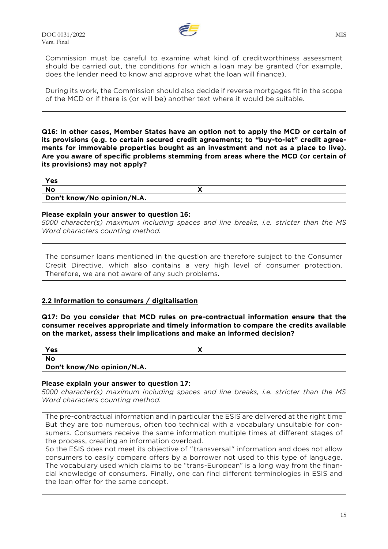

Commission must be careful to examine what kind of creditworthiness assessment should be carried out, the conditions for which a loan may be granted (for example, does the lender need to know and approve what the loan will finance).

During its work, the Commission should also decide if reverse mortgages fit in the scope of the MCD or if there is (or will be) another text where it would be suitable.

**Q16: In other cases, Member States have an option not to apply the MCD or certain of its provisions (e.g. to certain secured credit agreements; to "buy-to-let" credit agreements for immovable properties bought as an investment and not as a place to live). Are you aware of specific problems stemming from areas where the MCD (or certain of its provisions) may not apply?**

| Yes                        |  |
|----------------------------|--|
| No                         |  |
| Don't know/No opinion/N.A. |  |

#### **Please explain your answer to question 16:**

*5000 character(s) maximum including spaces and line breaks, i.e. stricter than the MS Word characters counting method.*

The consumer loans mentioned in the question are therefore subject to the Consumer Credit Directive, which also contains a very high level of consumer protection. Therefore, we are not aware of any such problems.

## **2.2 Information to consumers / digitalisation**

**Q17: Do you consider that MCD rules on pre-contractual information ensure that the consumer receives appropriate and timely information to compare the credits available on the market, assess their implications and make an informed decision?**

| Yes                        |  |
|----------------------------|--|
| No                         |  |
| Don't know/No opinion/N.A. |  |

## **Please explain your answer to question 17:**

*5000 character(s) maximum including spaces and line breaks, i.e. stricter than the MS Word characters counting method.*

The pre-contractual information and in particular the ESIS are delivered at the right time But they are too numerous, often too technical with a vocabulary unsuitable for consumers. Consumers receive the same information multiple times at different stages of the process, creating an information overload.

So the ESIS does not meet its objective of "transversal" information and does not allow consumers to easily compare offers by a borrower not used to this type of language. The vocabulary used which claims to be "trans-European" is a long way from the financial knowledge of consumers. Finally, one can find different terminologies in ESIS and the loan offer for the same concept.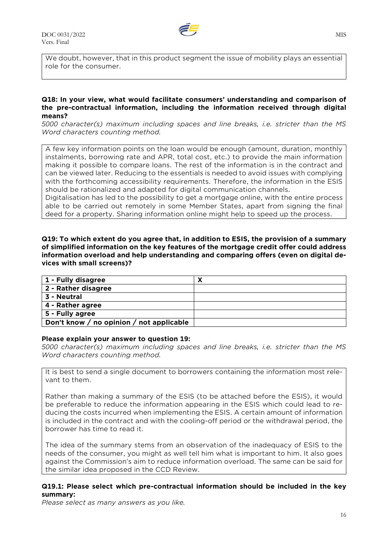

We doubt, however, that in this product segment the issue of mobility plays an essential role for the consumer.

#### **Q18: In your view, what would facilitate consumers' understanding and comparison of the pre-contractual information, including the information received through digital means?**

*5000 character(s) maximum including spaces and line breaks, i.e. stricter than the MS Word characters counting method.*

A few key information points on the loan would be enough (amount, duration, monthly instalments, borrowing rate and APR, total cost, etc.) to provide the main information making it possible to compare loans. The rest of the information is in the contract and can be viewed later. Reducing to the essentials is needed to avoid issues with complying with the forthcoming accessibility requirements. Therefore, the information in the ESIS should be rationalized and adapted for digital communication channels.

Digitalisation has led to the possibility to get a mortgage online, with the entire process able to be carried out remotely in some Member States, apart from signing the final deed for a property. Sharing information online might help to speed up the process.

**Q19: To which extent do you agree that, in addition to ESIS, the provision of a summary of simplified information on the key features of the mortgage credit offer could address information overload and help understanding and comparing offers (even on digital devices with small screens)?**

| 1 - Fully disagree                       |  |
|------------------------------------------|--|
| 2 - Rather disagree                      |  |
| 3 - Neutral                              |  |
| 4 - Rather agree                         |  |
| 5 - Fully agree                          |  |
| Don't know / no opinion / not applicable |  |

#### **Please explain your answer to question 19:**

*5000 character(s) maximum including spaces and line breaks, i.e. stricter than the MS Word characters counting method.*

It is best to send a single document to borrowers containing the information most relevant to them.

Rather than making a summary of the ESIS (to be attached before the ESIS), it would be preferable to reduce the information appearing in the ESIS which could lead to reducing the costs incurred when implementing the ESIS. A certain amount of information is included in the contract and with the cooling-off period or the withdrawal period, the borrower has time to read it.

The idea of the summary stems from an observation of the inadequacy of ESIS to the needs of the consumer, you might as well tell him what is important to him. It also goes against the Commission's aim to reduce information overload. The same can be said for the similar idea proposed in the CCD Review.

## **Q19.1: Please select which pre-contractual information should be included in the key summary:**

*Please select as many answers as you like.*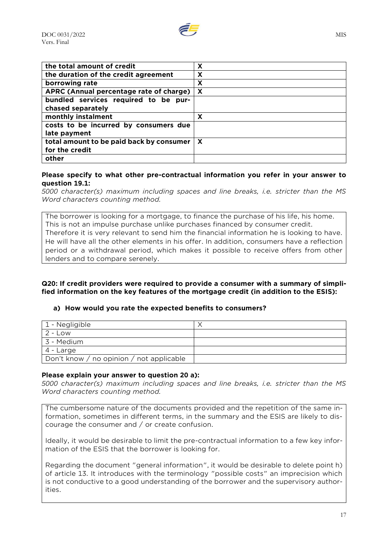

| the total amount of credit               | X                         |
|------------------------------------------|---------------------------|
| the duration of the credit agreement     | X                         |
| borrowing rate                           | X                         |
| APRC (Annual percentage rate of charge)  | $\boldsymbol{\mathsf{x}}$ |
| bundled services required to be pur-     |                           |
| chased separately                        |                           |
| monthly instalment                       | X                         |
| costs to be incurred by consumers due    |                           |
| late payment                             |                           |
| total amount to be paid back by consumer | $\boldsymbol{\mathsf{X}}$ |
| for the credit                           |                           |
| other                                    |                           |

#### **Please specify to what other pre-contractual information you refer in your answer to question 19.1:**

*5000 character(s) maximum including spaces and line breaks, i.e. stricter than the MS Word characters counting method.*

The borrower is looking for a mortgage, to finance the purchase of his life, his home. This is not an impulse purchase unlike purchases financed by consumer credit. Therefore it is very relevant to send him the financial information he is looking to have. He will have all the other elements in his offer. In addition, consumers have a reflection period or a withdrawal period, which makes it possible to receive offers from other lenders and to compare serenely.

## **Q20: If credit providers were required to provide a consumer with a summary of simplified information on the key features of the mortgage credit (in addition to the ESIS):**

## **a) How would you rate the expected benefits to consumers?**

| 1 - Negligible                           |  |
|------------------------------------------|--|
| $2 - Low$                                |  |
| 3 - Medium                               |  |
| 4 - Large                                |  |
| Don't know / no opinion / not applicable |  |

## **Please explain your answer to question 20 a):**

*5000 character(s) maximum including spaces and line breaks, i.e. stricter than the MS Word characters counting method.*

The cumbersome nature of the documents provided and the repetition of the same information, sometimes in different terms, in the summary and the ESIS are likely to discourage the consumer and / or create confusion.

Ideally, it would be desirable to limit the pre-contractual information to a few key information of the ESIS that the borrower is looking for.

Regarding the document "general information", it would be desirable to delete point h) of article 13. It introduces with the terminology "possible costs" an imprecision which is not conductive to a good understanding of the borrower and the supervisory authorities.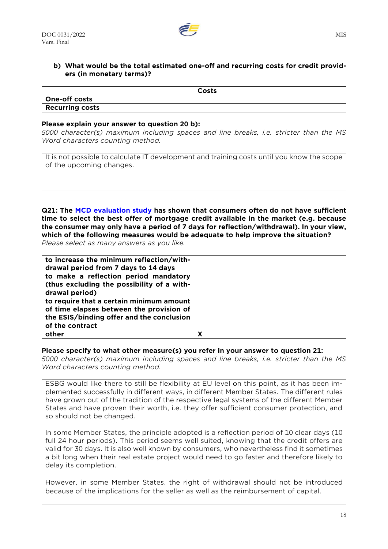

## **b) What would be the total estimated one-off and recurring costs for credit providers (in monetary terms)?**

|                        | Costs |
|------------------------|-------|
| One-off costs          |       |
| <b>Recurring costs</b> |       |

#### **Please explain your answer to question 20 b):**

*5000 character(s) maximum including spaces and line breaks, i.e. stricter than the MS Word characters counting method.*

It is not possible to calculate IT development and training costs until you know the scope of the upcoming changes.

**Q21: The [MCD evaluation study](https://op.europa.eu/en/publication-detail/-/publication/e4a1db26-2f94-11eb-b27b-01aa75ed71a1) has shown that consumers often do not have sufficient time to select the best offer of mortgage credit available in the market (e.g. because the consumer may only have a period of 7 days for reflection/withdrawal). In your view, which of the following measures would be adequate to help improve the situation?** *Please select as many answers as you like.*

| to increase the minimum reflection/with-   |   |
|--------------------------------------------|---|
| drawal period from 7 days to 14 days       |   |
| to make a reflection period mandatory      |   |
| (thus excluding the possibility of a with- |   |
| drawal period)                             |   |
| to require that a certain minimum amount   |   |
| of time elapses between the provision of   |   |
| the ESIS/binding offer and the conclusion  |   |
| of the contract                            |   |
| other                                      | х |

#### **Please specify to what other measure(s) you refer in your answer to question 21:**

*5000 character(s) maximum including spaces and line breaks, i.e. stricter than the MS Word characters counting method.*

ESBG would like there to still be flexibility at EU level on this point, as it has been implemented successfully in different ways, in different Member States. The different rules have grown out of the tradition of the respective legal systems of the different Member States and have proven their worth, i.e. they offer sufficient consumer protection, and so should not be changed.

In some Member States, the principle adopted is a reflection period of 10 clear days (10 full 24 hour periods). This period seems well suited, knowing that the credit offers are valid for 30 days. It is also well known by consumers, who nevertheless find it sometimes a bit long when their real estate project would need to go faster and therefore likely to delay its completion.

However, in some Member States, the right of withdrawal should not be introduced because of the implications for the seller as well as the reimbursement of capital.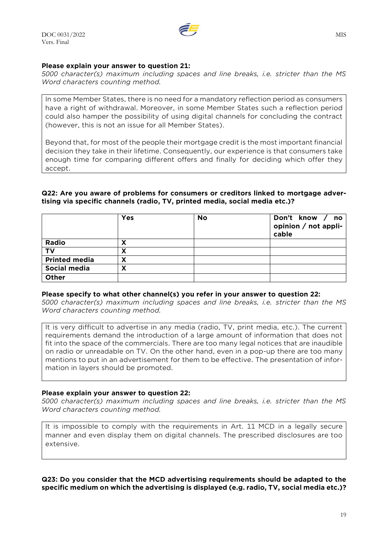## **Please explain your answer to question 21:**

*5000 character(s) maximum including spaces and line breaks, i.e. stricter than the MS Word characters counting method.*

In some Member States, there is no need for a mandatory reflection period as consumers have a right of withdrawal. Moreover, in some Member States such a reflection period could also hamper the possibility of using digital channels for concluding the contract (however, this is not an issue for all Member States).

Beyond that, for most of the people their mortgage credit is the most important financial decision they take in their lifetime. Consequently, our experience is that consumers take enough time for comparing different offers and finally for deciding which offer they accept.

## **Q22: Are you aware of problems for consumers or creditors linked to mortgage advertising via specific channels (radio, TV, printed media, social media etc.)?**

|                      | Yes | No | Don't know /<br><b>no</b><br>opinion / not appli-<br>cable |
|----------------------|-----|----|------------------------------------------------------------|
| Radio                | Δ   |    |                                                            |
| <b>TV</b>            | X   |    |                                                            |
| <b>Printed media</b> | X   |    |                                                            |
| Social media         | х   |    |                                                            |
| Other                |     |    |                                                            |

#### **Please specify to what other channel(s) you refer in your answer to question 22:**

*5000 character(s) maximum including spaces and line breaks, i.e. stricter than the MS Word characters counting method.*

It is very difficult to advertise in any media (radio, TV, print media, etc.). The current requirements demand the introduction of a large amount of information that does not fit into the space of the commercials. There are too many legal notices that are inaudible on radio or unreadable on TV. On the other hand, even in a pop-up there are too many mentions to put in an advertisement for them to be effective. The presentation of information in layers should be promoted.

## **Please explain your answer to question 22:**

*5000 character(s) maximum including spaces and line breaks, i.e. stricter than the MS Word characters counting method.*

It is impossible to comply with the requirements in Art. 11 MCD in a legally secure manner and even display them on digital channels. The prescribed disclosures are too extensive.

## **Q23: Do you consider that the MCD advertising requirements should be adapted to the specific medium on which the advertising is displayed (e.g. radio, TV, social media etc.)?**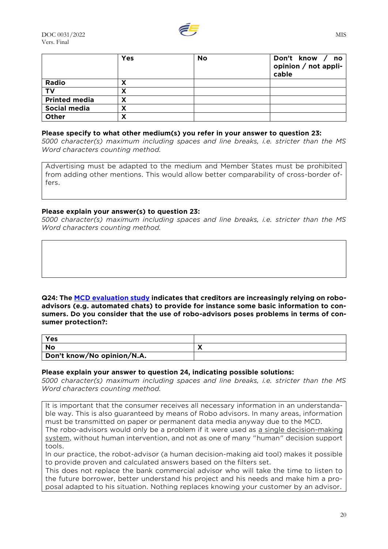

|                      | <b>Yes</b> | No | Don't know /<br>no no<br>opinion / not appli-<br>cable |
|----------------------|------------|----|--------------------------------------------------------|
| Radio                | х          |    |                                                        |
| т٧                   | х          |    |                                                        |
| <b>Printed media</b> | Λ          |    |                                                        |
| Social media         | х          |    |                                                        |
| Other                | х          |    |                                                        |

#### **Please specify to what other medium(s) you refer in your answer to question 23:**

*5000 character(s) maximum including spaces and line breaks, i.e. stricter than the MS Word characters counting method.*

Advertising must be adapted to the medium and Member States must be prohibited from adding other mentions. This would allow better comparability of cross-border offers.

## **Please explain your answer(s) to question 23:**

*5000 character(s) maximum including spaces and line breaks, i.e. stricter than the MS Word characters counting method.*

**Q24: The [MCD evaluation study](https://op.europa.eu/en/publication-detail/-/publication/e4a1db26-2f94-11eb-b27b-01aa75ed71a1) indicates that creditors are increasingly relying on roboadvisors (e.g. automated chats) to provide for instance some basic information to consumers. Do you consider that the use of robo-advisors poses problems in terms of consumer protection?:**

| Yes                        |  |
|----------------------------|--|
| No                         |  |
| Don't know/No opinion/N.A. |  |

#### **Please explain your answer to question 24, indicating possible solutions:**

*5000 character(s) maximum including spaces and line breaks, i.e. stricter than the MS Word characters counting method.*

It is important that the consumer receives all necessary information in an understandable way. This is also guaranteed by means of Robo advisors. In many areas, information must be transmitted on paper or permanent data media anyway due to the MCD.

The robo-advisors would only be a problem if it were used as a single decision-making system, without human intervention, and not as one of many "human" decision support tools.

In our practice, the robot-advisor (a human decision-making aid tool) makes it possible to provide proven and calculated answers based on the filters set.

This does not replace the bank commercial advisor who will take the time to listen to the future borrower, better understand his project and his needs and make him a proposal adapted to his situation. Nothing replaces knowing your customer by an advisor.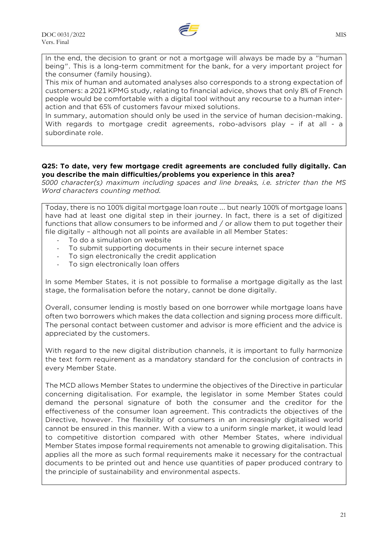

In the end, the decision to grant or not a mortgage will always be made by a "human being". This is a long-term commitment for the bank, for a very important project for the consumer (family housing).

This mix of human and automated analyses also corresponds to a strong expectation of customers: a 2021 KPMG study, relating to financial advice, shows that only 8% of French people would be comfortable with a digital tool without any recourse to a human interaction and that 65% of customers favour mixed solutions.

In summary, automation should only be used in the service of human decision-making. With regards to mortgage credit agreements, robo-advisors play - if at all - a subordinate role.

## **Q25: To date, very few mortgage credit agreements are concluded fully digitally. Can you describe the main difficulties/problems you experience in this area?**

*5000 character(s) maximum including spaces and line breaks, i.e. stricter than the MS Word characters counting method.*

Today, there is no 100% digital mortgage loan route ... but nearly 100% of mortgage loans have had at least one digital step in their journey. In fact, there is a set of digitized functions that allow consumers to be informed and / or allow them to put together their file digitally – although not all points are available in all Member States:

- To do a simulation on website
- To submit supporting documents in their secure internet space
- To sign electronically the credit application
- To sign electronically loan offers

In some Member States, it is not possible to formalise a mortgage digitally as the last stage, the formalisation before the notary, cannot be done digitally.

Overall, consumer lending is mostly based on one borrower while mortgage loans have often two borrowers which makes the data collection and signing process more difficult. The personal contact between customer and advisor is more efficient and the advice is appreciated by the customers.

With regard to the new digital distribution channels, it is important to fully harmonize the text form requirement as a mandatory standard for the conclusion of contracts in every Member State.

The MCD allows Member States to undermine the objectives of the Directive in particular concerning digitalisation. For example, the legislator in some Member States could demand the personal signature of both the consumer and the creditor for the effectiveness of the consumer loan agreement. This contradicts the objectives of the Directive, however. The flexibility of consumers in an increasingly digitalised world cannot be ensured in this manner. With a view to a uniform single market, it would lead to competitive distortion compared with other Member States, where individual Member States impose formal requirements not amenable to growing digitalisation. This applies all the more as such formal requirements make it necessary for the contractual documents to be printed out and hence use quantities of paper produced contrary to the principle of sustainability and environmental aspects.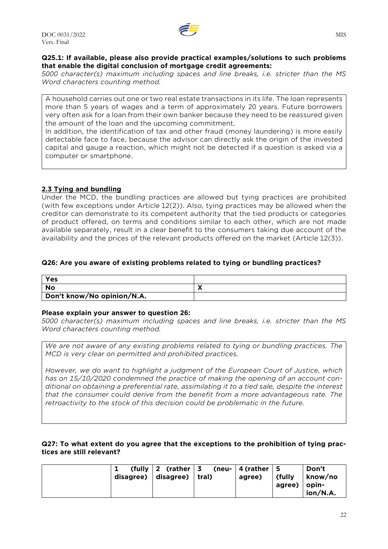

## **Q25.1: If available, please also provide practical examples/solutions to such problems that enable the digital conclusion of mortgage credit agreements:**

*5000 character(s) maximum including spaces and line breaks, i.e. stricter than the MS Word characters counting method.*

A household carries out one or two real estate transactions in its life. The loan represents more than 5 years of wages and a term of approximately 20 years. Future borrowers very often ask for a loan from their own banker because they need to be reassured given the amount of the loan and the upcoming commitment.

In addition, the identification of tax and other fraud (money laundering) is more easily detectable face to face, because the advisor can directly ask the origin of the invested capital and gauge a reaction, which might not be detected if a question is asked via a computer or smartphone.

## **2.3 Tying and bundling**

Under the MCD, the bundling practices are allowed but tying practices are prohibited (with few exceptions under Article 12(2)). Also, tying practices may be allowed when the creditor can demonstrate to its competent authority that the tied products or categories of product offered, on terms and conditions similar to each other, which are not made available separately, result in a clear benefit to the consumers taking due account of the availability and the prices of the relevant products offered on the market (Article 12(3)).

## **Q26: Are you aware of existing problems related to tying or bundling practices?**

| Yes                        |  |
|----------------------------|--|
| No                         |  |
| Don't know/No opinion/N.A. |  |

## **Please explain your answer to question 26:**

*5000 character(s) maximum including spaces and line breaks, i.e. stricter than the MS Word characters counting method.*

*We are not aware of any existing problems related to tying or bundling practices. The MCD is very clear on permitted and prohibited practices.*

*However, we do want to highlight a judgment of the European Court of Justice, which has on 15/10/2020 condemned the practice of making the opening of an account conditional on obtaining a preferential rate, assimilating it to a tied sale, despite the interest that the consumer could derive from the benefit from a more advantageous rate. The retroactivity to the stock of this decision could be problematic in the future.*

## **Q27: To what extent do you agree that the exceptions to the prohibition of tying practices are still relevant?**

|  | $(tully \mid 2 (rather \mid 3 (neu- \mid 4 (rather \mid 5$<br>disagree) $ $ disagree) $ $ tral) |  | agree) | (fully)<br>agree) | Don't<br>∣know∕no<br>$\mid$ opin-<br>ion/N.A. |
|--|-------------------------------------------------------------------------------------------------|--|--------|-------------------|-----------------------------------------------|
|--|-------------------------------------------------------------------------------------------------|--|--------|-------------------|-----------------------------------------------|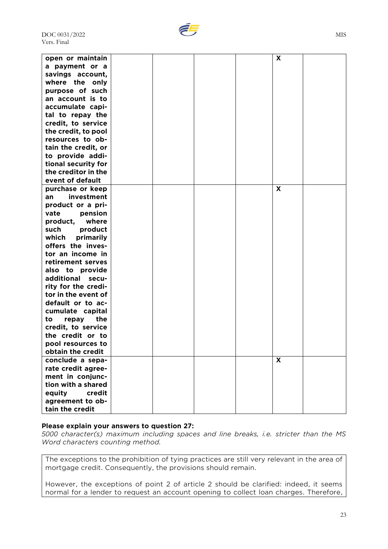

| open or maintain    |  |  | X |  |
|---------------------|--|--|---|--|
| a payment or a      |  |  |   |  |
| savings account,    |  |  |   |  |
| where the only      |  |  |   |  |
| purpose of such     |  |  |   |  |
| an account is to    |  |  |   |  |
| accumulate capi-    |  |  |   |  |
| tal to repay the    |  |  |   |  |
| credit, to service  |  |  |   |  |
| the credit, to pool |  |  |   |  |
| resources to ob-    |  |  |   |  |
| tain the credit, or |  |  |   |  |
| to provide addi-    |  |  |   |  |
| tional security for |  |  |   |  |
| the creditor in the |  |  |   |  |
| event of default    |  |  |   |  |
| purchase or keep    |  |  | X |  |
| investment<br>an    |  |  |   |  |
| product or a pri-   |  |  |   |  |
| vate<br>pension     |  |  |   |  |
| product, where      |  |  |   |  |
| such<br>product     |  |  |   |  |
| which<br>primarily  |  |  |   |  |
| offers the inves-   |  |  |   |  |
| tor an income in    |  |  |   |  |
| retirement serves   |  |  |   |  |
| also to provide     |  |  |   |  |
| additional<br>secu- |  |  |   |  |
| rity for the credi- |  |  |   |  |
| tor in the event of |  |  |   |  |
| default or to ac-   |  |  |   |  |
| cumulate capital    |  |  |   |  |
| the<br>to<br>repay  |  |  |   |  |
| credit, to service  |  |  |   |  |
| the credit or to    |  |  |   |  |
| pool resources to   |  |  |   |  |
| obtain the credit   |  |  |   |  |
| conclude a sepa-    |  |  | X |  |
| rate credit agree-  |  |  |   |  |
| ment in conjunc-    |  |  |   |  |
| tion with a shared  |  |  |   |  |
| credit<br>equity    |  |  |   |  |
| agreement to ob-    |  |  |   |  |
| tain the credit     |  |  |   |  |

#### **Please explain your answers to question 27:**

*5000 character(s) maximum including spaces and line breaks, i.e. stricter than the MS Word characters counting method.*

The exceptions to the prohibition of tying practices are still very relevant in the area of mortgage credit. Consequently, the provisions should remain.

However, the exceptions of point 2 of article 2 should be clarified: indeed, it seems normal for a lender to request an account opening to collect loan charges. Therefore,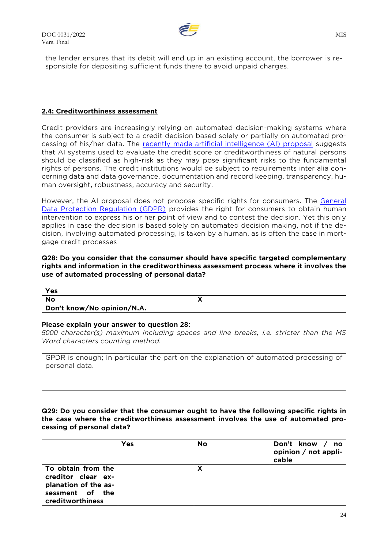

the lender ensures that its debit will end up in an existing account, the borrower is responsible for depositing sufficient funds there to avoid unpaid charges.

## **2.4: Creditworthiness assessment**

Credit providers are increasingly relying on automated decision-making systems where the consumer is subject to a credit decision based solely or partially on automated processing of his/her data. The [recently made artificial intelligence \(AI\) proposal](https://eur-lex.europa.eu/legal-content/EN/TXT/?uri=CELEX:52021PC0206) suggests that AI systems used to evaluate the credit score or creditworthiness of natural persons should be classified as high-risk as they may pose significant risks to the fundamental rights of persons. The credit institutions would be subject to requirements inter alia concerning data and data governance, documentation and record keeping, transparency, human oversight, robustness, accuracy and security.

However, the AI proposal does not propose specific rights for consumers. The [General](https://eur-lex.europa.eu/legal-content/EN/TXT/?uri=CELEX:02016R0679-20160504)  [Data Protection Regulation \(GDPR\)](https://eur-lex.europa.eu/legal-content/EN/TXT/?uri=CELEX:02016R0679-20160504) provides the right for consumers to obtain human intervention to express his or her point of view and to contest the decision. Yet this only applies in case the decision is based solely on automated decision making, not if the decision, involving automated processing, is taken by a human, as is often the case in mortgage credit processes

#### **Q28: Do you consider that the consumer should have specific targeted complementary rights and information in the creditworthiness assessment process where it involves the use of automated processing of personal data?**

| Yes                        |  |
|----------------------------|--|
| No                         |  |
| Don't know/No opinion/N.A. |  |

#### **Please explain your answer to question 28:**

*5000 character(s) maximum including spaces and line breaks, i.e. stricter than the MS Word characters counting method.*

GPDR is enough; In particular the part on the explanation of automated processing of personal data.

## **Q29: Do you consider that the consumer ought to have the following specific rights in the case where the creditworthiness assessment involves the use of automated processing of personal data?**

|                                                                                                         | Yes | No | Don't know / no<br>opinion $/$ not appli-<br>cable |
|---------------------------------------------------------------------------------------------------------|-----|----|----------------------------------------------------|
| To obtain from the<br>creditor clear ex-<br>planation of the as-<br>sessment of the<br>creditworthiness |     | х  |                                                    |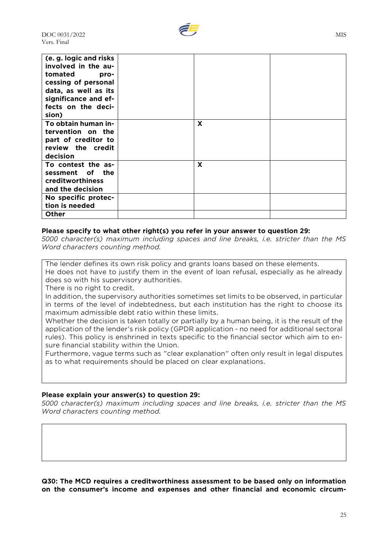| (e. g. logic and risks<br>involved in the au- |                           |  |
|-----------------------------------------------|---------------------------|--|
| tomated<br>pro-                               |                           |  |
| cessing of personal                           |                           |  |
| data, as well as its                          |                           |  |
| significance and ef-                          |                           |  |
| fects on the deci-                            |                           |  |
| sion)                                         |                           |  |
| To obtain human in-                           | X                         |  |
| tervention on the                             |                           |  |
| part of creditor to                           |                           |  |
| review the credit                             |                           |  |
| decision                                      |                           |  |
| To contest the as-                            | $\boldsymbol{\mathsf{X}}$ |  |
| sessment of the                               |                           |  |
| <b>creditworthiness</b>                       |                           |  |
| and the decision                              |                           |  |
| No specific protec-                           |                           |  |
| tion is needed                                |                           |  |
| Other                                         |                           |  |

## **Please specify to what other right(s) you refer in your answer to question 29:**

*5000 character(s) maximum including spaces and line breaks, i.e. stricter than the MS Word characters counting method.*

The lender defines its own risk policy and grants loans based on these elements. He does not have to justify them in the event of loan refusal, especially as he already does so with his supervisory authorities.

There is no right to credit.

In addition, the supervisory authorities sometimes set limits to be observed, in particular in terms of the level of indebtedness, but each institution has the right to choose its maximum admissible debt ratio within these limits.

Whether the decision is taken totally or partially by a human being, it is the result of the application of the lender's risk policy (GPDR application - no need for additional sectoral rules). This policy is enshrined in texts specific to the financial sector which aim to ensure financial stability within the Union.

Furthermore, vague terms such as "clear explanation" often only result in legal disputes as to what requirements should be placed on clear explanations.

#### **Please explain your answer(s) to question 29:**

*5000 character(s) maximum including spaces and line breaks, i.e. stricter than the MS Word characters counting method.*

**Q30: The MCD requires a creditworthiness assessment to be based only on information on the consumer's income and expenses and other financial and economic circum-**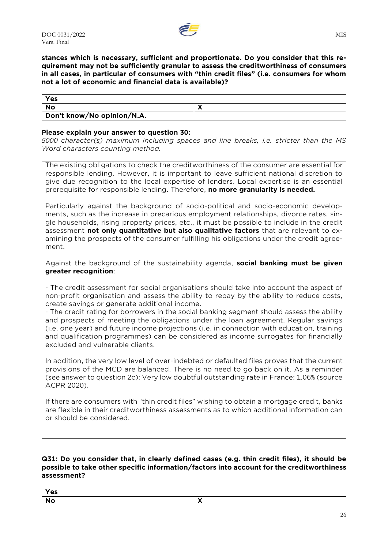

### **stances which is necessary, sufficient and proportionate. Do you consider that this requirement may not be sufficiently granular to assess the creditworthiness of consumers in all cases, in particular of consumers with "thin credit files" (i.e. consumers for whom not a lot of economic and financial data is available)?**

| Yes                        |  |
|----------------------------|--|
| No                         |  |
| Don't know/No opinion/N.A. |  |

## **Please explain your answer to question 30:**

*5000 character(s) maximum including spaces and line breaks, i.e. stricter than the MS Word characters counting method.*

The existing obligations to check the creditworthiness of the consumer are essential for responsible lending. However, it is important to leave sufficient national discretion to give due recognition to the local expertise of lenders. Local expertise is an essential prerequisite for responsible lending. Therefore, **no more granularity is needed.**

Particularly against the background of socio-political and socio-economic developments, such as the increase in precarious employment relationships, divorce rates, single households, rising property prices, etc., it must be possible to include in the credit assessment **not only quantitative but also qualitative factors** that are relevant to examining the prospects of the consumer fulfilling his obligations under the credit agreement.

Against the background of the sustainability agenda, **social banking must be given greater recognition**:

- The credit assessment for social organisations should take into account the aspect of non-profit organisation and assess the ability to repay by the ability to reduce costs, create savings or generate additional income.

- The credit rating for borrowers in the social banking segment should assess the ability and prospects of meeting the obligations under the loan agreement. Regular savings (i.e. one year) and future income projections (i.e. in connection with education, training and qualification programmes) can be considered as income surrogates for financially excluded and vulnerable clients.

In addition, the very low level of over-indebted or defaulted files proves that the current provisions of the MCD are balanced. There is no need to go back on it. As a reminder (see answer to question 2c): Very low doubtful outstanding rate in France: 1.06% (source ACPR 2020).

If there are consumers with "thin credit files" wishing to obtain a mortgage credit, banks are flexible in their creditworthiness assessments as to which additional information can or should be considered.

#### **Q31: Do you consider that, in clearly defined cases (e.g. thin credit files), it should be possible to take other specific information/factors into account for the creditworthiness assessment?**

| Yes |  |
|-----|--|
|     |  |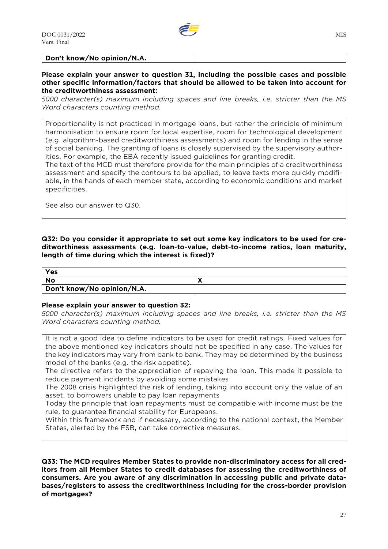

**Don't know/No opinion/N.A.**

#### **Please explain your answer to question 31, including the possible cases and possible other specific information/factors that should be allowed to be taken into account for the creditworthiness assessment:**

*5000 character(s) maximum including spaces and line breaks, i.e. stricter than the MS Word characters counting method.*

Proportionality is not practiced in mortgage loans, but rather the principle of minimum harmonisation to ensure room for local expertise, room for technological development (e.g. algorithm-based creditworthiness assessments) and room for lending in the sense of social banking. The granting of loans is closely supervised by the supervisory authorities. For example, the EBA recently issued guidelines for granting credit.

The text of the MCD must therefore provide for the main principles of a creditworthiness assessment and specify the contours to be applied, to leave texts more quickly modifiable, in the hands of each member state, according to economic conditions and market specificities.

See also our answer to Q30.

**Q32: Do you consider it appropriate to set out some key indicators to be used for creditworthiness assessments (e.g. loan-to-value, debt-to-income ratios, loan maturity, length of time during which the interest is fixed)?**

| Yes                        |  |
|----------------------------|--|
| No                         |  |
| Don't know/No opinion/N.A. |  |

#### **Please explain your answer to question 32:**

*5000 character(s) maximum including spaces and line breaks, i.e. stricter than the MS Word characters counting method.*

It is not a good idea to define indicators to be used for credit ratings. Fixed values for the above mentioned key indicators should not be specified in any case. The values for the key indicators may vary from bank to bank. They may be determined by the business model of the banks (e.g. the risk appetite).

The directive refers to the appreciation of repaying the loan. This made it possible to reduce payment incidents by avoiding some mistakes

The 2008 crisis highlighted the risk of lending, taking into account only the value of an asset, to borrowers unable to pay loan repayments

Today the principle that loan repayments must be compatible with income must be the rule, to guarantee financial stability for Europeans.

Within this framework and if necessary, according to the national context, the Member States, alerted by the FSB, can take corrective measures.

**Q33: The MCD requires Member States to provide non-discriminatory access for all creditors from all Member States to credit databases for assessing the creditworthiness of consumers. Are you aware of any discrimination in accessing public and private databases/registers to assess the creditworthiness including for the cross-border provision of mortgages?**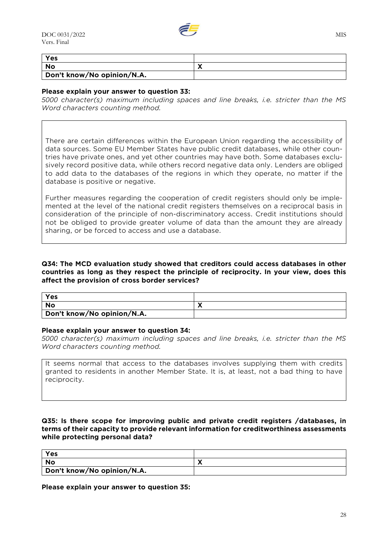

| Yes                        |                            |
|----------------------------|----------------------------|
| No                         | $\boldsymbol{\mathcal{L}}$ |
| Don't know/No opinion/N.A. |                            |

## **Please explain your answer to question 33:**

*5000 character(s) maximum including spaces and line breaks, i.e. stricter than the MS Word characters counting method.*

There are certain differences within the European Union regarding the accessibility of data sources. Some EU Member States have public credit databases, while other countries have private ones, and yet other countries may have both. Some databases exclusively record positive data, while others record negative data only. Lenders are obliged to add data to the databases of the regions in which they operate, no matter if the database is positive or negative.

Further measures regarding the cooperation of credit registers should only be implemented at the level of the national credit registers themselves on a reciprocal basis in consideration of the principle of non-discriminatory access. Credit institutions should not be obliged to provide greater volume of data than the amount they are already sharing, or be forced to access and use a database.

**Q34: The MCD evaluation study showed that creditors could access databases in other countries as long as they respect the principle of reciprocity. In your view, does this affect the provision of cross border services?**

| Yes                        |  |
|----------------------------|--|
| <b>No</b>                  |  |
| Don't know/No opinion/N.A. |  |

#### **Please explain your answer to question 34:**

*5000 character(s) maximum including spaces and line breaks, i.e. stricter than the MS Word characters counting method.*

It seems normal that access to the databases involves supplying them with credits granted to residents in another Member State. It is, at least, not a bad thing to have reciprocity.

## **Q35: Is there scope for improving public and private credit registers /databases, in terms of their capacity to provide relevant information for creditworthiness assessments while protecting personal data?**

| Yes                        |  |
|----------------------------|--|
| No                         |  |
| Don't know/No opinion/N.A. |  |

**Please explain your answer to question 35:**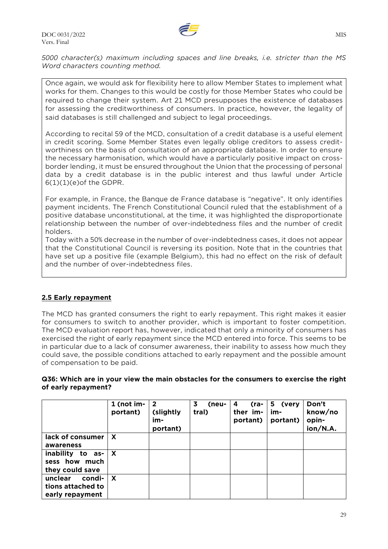

*5000 character(s) maximum including spaces and line breaks, i.e. stricter than the MS Word characters counting method.*

Once again, we would ask for flexibility here to allow Member States to implement what works for them. Changes to this would be costly for those Member States who could be required to change their system. Art 21 MCD presupposes the existence of databases for assessing the creditworthiness of consumers. In practice, however, the legality of said databases is still challenged and subject to legal proceedings.

According to recital 59 of the MCD, consultation of a credit database is a useful element in credit scoring. Some Member States even legally oblige creditors to assess creditworthiness on the basis of consultation of an appropriate database. In order to ensure the necessary harmonisation, which would have a particularly positive impact on crossborder lending, it must be ensured throughout the Union that the processing of personal data by a credit database is in the public interest and thus lawful under Article 6(1)(1)(e)of the GDPR.

For example, in France, the Banque de France database is "negative". It only identifies payment incidents. The French Constitutional Council ruled that the establishment of a positive database unconstitutional, at the time, it was highlighted the disproportionate relationship between the number of over-indebtedness files and the number of credit holders.

Today with a 50% decrease in the number of over-indebtedness cases, it does not appear that the Constitutional Council is reversing its position. Note that in the countries that have set up a positive file (example Belgium), this had no effect on the risk of default and the number of over-indebtedness files.

## **2.5 Early repayment**

The MCD has granted consumers the right to early repayment. This right makes it easier for consumers to switch to another provider, which is important to foster competition. The MCD evaluation report has, however, indicated that only a minority of consumers has exercised the right of early repayment since the MCD entered into force. This seems to be in particular due to a lack of consumer awareness, their inability to assess how much they could save, the possible conditions attached to early repayment and the possible amount of compensation to be paid.

## **Q36: Which are in your view the main obstacles for the consumers to exercise the right of early repayment?**

|                                                           | 1 (not im-<br>portant) | $\overline{2}$<br>(slightly<br>im-<br>portant) | 3<br>(neu-<br>tral) | (ra-<br>4<br>ther im-<br>portant) | 5 (very<br>im-<br>portant) | Don't<br>know/no<br>opin-<br>ion/N.A. |
|-----------------------------------------------------------|------------------------|------------------------------------------------|---------------------|-----------------------------------|----------------------------|---------------------------------------|
| lack of consumer<br>awareness                             | X                      |                                                |                     |                                   |                            |                                       |
| inability to as-<br>sess how much<br>they could save      | $\mathsf{x}$           |                                                |                     |                                   |                            |                                       |
| condi-<br>unclear<br>tions attached to<br>early repayment | X                      |                                                |                     |                                   |                            |                                       |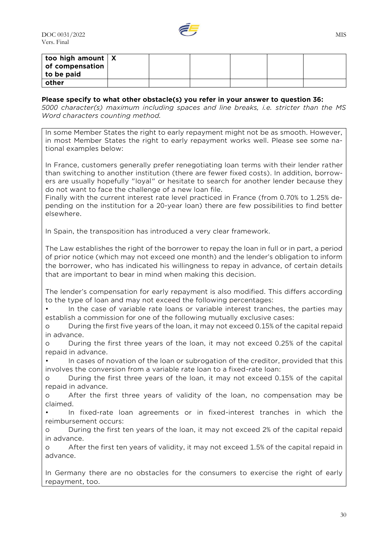

| too high amount $\mathbf{X}$<br>of compensation $ $ |  |  |  |
|-----------------------------------------------------|--|--|--|
| to be paid                                          |  |  |  |
| other                                               |  |  |  |

## **Please specify to what other obstacle(s) you refer in your answer to question 36:**

*5000 character(s) maximum including spaces and line breaks, i.e. stricter than the MS Word characters counting method.*

In some Member States the right to early repayment might not be as smooth. However, in most Member States the right to early repayment works well. Please see some national examples below:

In France, customers generally prefer renegotiating loan terms with their lender rather than switching to another institution (there are fewer fixed costs). In addition, borrowers are usually hopefully "loyal" or hesitate to search for another lender because they do not want to face the challenge of a new loan file.

Finally with the current interest rate level practiced in France (from 0.70% to 1.25% depending on the institution for a 20-year loan) there are few possibilities to find better elsewhere.

In Spain, the transposition has introduced a very clear framework.

The Law establishes the right of the borrower to repay the loan in full or in part, a period of prior notice (which may not exceed one month) and the lender's obligation to inform the borrower, who has indicated his willingness to repay in advance, of certain details that are important to bear in mind when making this decision.

The lender's compensation for early repayment is also modified. This differs according to the type of loan and may not exceed the following percentages:

• In the case of variable rate loans or variable interest tranches, the parties may establish a commission for one of the following mutually exclusive cases:

o During the first five years of the loan, it may not exceed 0.15% of the capital repaid in advance.

o During the first three years of the loan, it may not exceed 0.25% of the capital repaid in advance.

• In cases of novation of the loan or subrogation of the creditor, provided that this involves the conversion from a variable rate loan to a fixed-rate loan:

o During the first three years of the loan, it may not exceed 0.15% of the capital repaid in advance.

o After the first three years of validity of the loan, no compensation may be claimed.

• In fixed-rate loan agreements or in fixed-interest tranches in which the reimbursement occurs:

o During the first ten years of the loan, it may not exceed 2% of the capital repaid in advance.

o After the first ten years of validity, it may not exceed 1.5% of the capital repaid in advance.

In Germany there are no obstacles for the consumers to exercise the right of early repayment, too.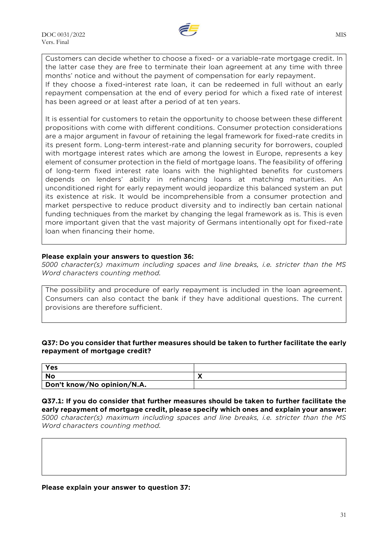

Customers can decide whether to choose a fixed- or a variable-rate mortgage credit. In the latter case they are free to terminate their loan agreement at any time with three months' notice and without the payment of compensation for early repayment. If they choose a fixed-interest rate loan, it can be redeemed in full without an early repayment compensation at the end of every period for which a fixed rate of interest has been agreed or at least after a period of at ten years.

It is essential for customers to retain the opportunity to choose between these different propositions with come with different conditions. Consumer protection considerations are a major argument in favour of retaining the legal framework for fixed-rate credits in its present form. Long-term interest-rate and planning security for borrowers, coupled with mortgage interest rates which are among the lowest in Europe, represents a key element of consumer protection in the field of mortgage loans. The feasibility of offering of long-term fixed interest rate loans with the highlighted benefits for customers depends on lenders' ability in refinancing loans at matching maturities. An unconditioned right for early repayment would jeopardize this balanced system an put its existence at risk. It would be incomprehensible from a consumer protection and market perspective to reduce product diversity and to indirectly ban certain national funding techniques from the market by changing the legal framework as is. This is even more important given that the vast majority of Germans intentionally opt for fixed-rate loan when financing their home.

## **Please explain your answers to question 36:**

*5000 character(s) maximum including spaces and line breaks, i.e. stricter than the MS Word characters counting method.*

The possibility and procedure of early repayment is included in the loan agreement. Consumers can also contact the bank if they have additional questions. The current provisions are therefore sufficient.

## **Q37: Do you consider that further measures should be taken to further facilitate the early repayment of mortgage credit?**

| Yes                        |  |
|----------------------------|--|
| No                         |  |
| Don't know/No opinion/N.A. |  |

**Q37.1: If you do consider that further measures should be taken to further facilitate the early repayment of mortgage credit, please specify which ones and explain your answer:** *5000 character(s) maximum including spaces and line breaks, i.e. stricter than the MS Word characters counting method.*

**Please explain your answer to question 37:**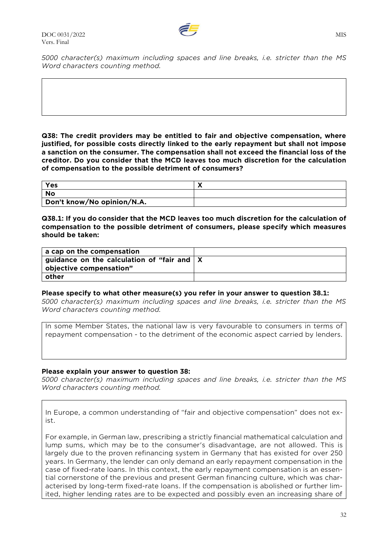

*5000 character(s) maximum including spaces and line breaks, i.e. stricter than the MS Word characters counting method.*

**Q38: The credit providers may be entitled to fair and objective compensation, where justified, for possible costs directly linked to the early repayment but shall not impose a sanction on the consumer. The compensation shall not exceed the financial loss of the creditor. Do you consider that the MCD leaves too much discretion for the calculation of compensation to the possible detriment of consumers?**

| Yes                        |  |
|----------------------------|--|
| No                         |  |
| Don't know/No opinion/N.A. |  |

**Q38.1: If you do consider that the MCD leaves too much discretion for the calculation of compensation to the possible detriment of consumers, please specify which measures should be taken:**

| a cap on the compensation                                  |  |
|------------------------------------------------------------|--|
| $\vert$ guidance on the calculation of "fair and $\vert$ X |  |
| objective compensation"                                    |  |
| other                                                      |  |

#### **Please specify to what other measure(s) you refer in your answer to question 38.1:**

*5000 character(s) maximum including spaces and line breaks, i.e. stricter than the MS Word characters counting method.*

In some Member States, the national law is very favourable to consumers in terms of repayment compensation - to the detriment of the economic aspect carried by lenders.

## **Please explain your answer to question 38:**

*5000 character(s) maximum including spaces and line breaks, i.e. stricter than the MS Word characters counting method.*

In Europe, a common understanding of "fair and objective compensation" does not exist.

For example, in German law, prescribing a strictly financial mathematical calculation and lump sums, which may be to the consumer's disadvantage, are not allowed. This is largely due to the proven refinancing system in Germany that has existed for over 250 years. In Germany, the lender can only demand an early repayment compensation in the case of fixed-rate loans. In this context, the early repayment compensation is an essential cornerstone of the previous and present German financing culture, which was characterised by long-term fixed-rate loans. If the compensation is abolished or further limited, higher lending rates are to be expected and possibly even an increasing share of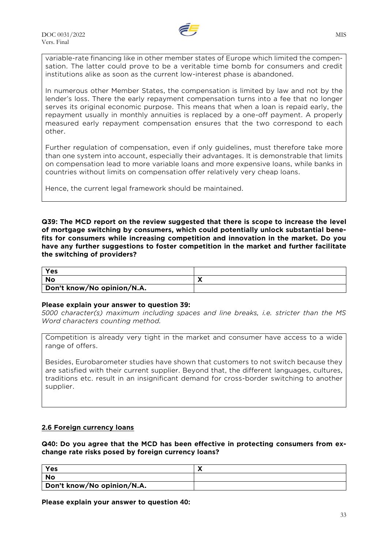

variable-rate financing like in other member states of Europe which limited the compensation. The latter could prove to be a veritable time bomb for consumers and credit institutions alike as soon as the current low-interest phase is abandoned.

In numerous other Member States, the compensation is limited by law and not by the lender's loss. There the early repayment compensation turns into a fee that no longer serves its original economic purpose. This means that when a loan is repaid early, the repayment usually in monthly annuities is replaced by a one-off payment. A properly measured early repayment compensation ensures that the two correspond to each other.

Further regulation of compensation, even if only guidelines, must therefore take more than one system into account, especially their advantages. It is demonstrable that limits on compensation lead to more variable loans and more expensive loans, while banks in countries without limits on compensation offer relatively very cheap loans.

Hence, the current legal framework should be maintained.

**Q39: The MCD report on the review suggested that there is scope to increase the level of mortgage switching by consumers, which could potentially unlock substantial benefits for consumers while increasing competition and innovation in the market. Do you have any further suggestions to foster competition in the market and further facilitate the switching of providers?**

| Yes                        |  |
|----------------------------|--|
| <b>No</b>                  |  |
| Don't know/No opinion/N.A. |  |

## **Please explain your answer to question 39:**

*5000 character(s) maximum including spaces and line breaks, i.e. stricter than the MS Word characters counting method.*

Competition is already very tight in the market and consumer have access to a wide range of offers.

Besides, Eurobarometer studies have shown that customers to not switch because they are satisfied with their current supplier. Beyond that, the different languages, cultures, traditions etc. result in an insignificant demand for cross-border switching to another supplier.

## **2.6 Foreign currency loans**

**Q40: Do you agree that the MCD has been effective in protecting consumers from exchange rate risks posed by foreign currency loans?**

| Yes                        |  |
|----------------------------|--|
| No                         |  |
| Don't know/No opinion/N.A. |  |

**Please explain your answer to question 40:**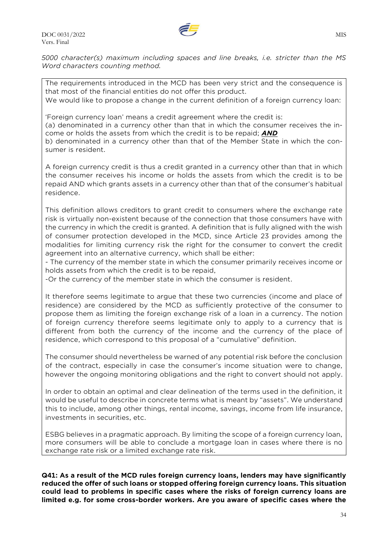

*5000 character(s) maximum including spaces and line breaks, i.e. stricter than the MS Word characters counting method.*

The requirements introduced in the MCD has been very strict and the consequence is that most of the financial entities do not offer this product.

We would like to propose a change in the current definition of a foreign currency loan:

'Foreign currency loan' means a credit agreement where the credit is:

(a) denominated in a currency other than that in which the consumer receives the income or holds the assets from which the credit is to be repaid; *AND*

b) denominated in a currency other than that of the Member State in which the consumer is resident.

A foreign currency credit is thus a credit granted in a currency other than that in which the consumer receives his income or holds the assets from which the credit is to be repaid AND which grants assets in a currency other than that of the consumer's habitual residence.

This definition allows creditors to grant credit to consumers where the exchange rate risk is virtually non-existent because of the connection that those consumers have with the currency in which the credit is granted. A definition that is fully aligned with the wish of consumer protection developed in the MCD, since Article 23 provides among the modalities for limiting currency risk the right for the consumer to convert the credit agreement into an alternative currency, which shall be either:

- The currency of the member state in which the consumer primarily receives income or holds assets from which the credit is to be repaid,

-Or the currency of the member state in which the consumer is resident.

It therefore seems legitimate to argue that these two currencies (income and place of residence) are considered by the MCD as sufficiently protective of the consumer to propose them as limiting the foreign exchange risk of a loan in a currency. The notion of foreign currency therefore seems legitimate only to apply to a currency that is different from both the currency of the income and the currency of the place of residence, which correspond to this proposal of a "cumulative" definition.

The consumer should nevertheless be warned of any potential risk before the conclusion of the contract, especially in case the consumer's income situation were to change, however the ongoing monitoring obligations and the right to convert should not apply.

In order to obtain an optimal and clear delineation of the terms used in the definition, it would be useful to describe in concrete terms what is meant by "assets". We understand this to include, among other things, rental income, savings, income from life insurance, investments in securities, etc.

ESBG believes in a pragmatic approach. By limiting the scope of a foreign currency loan, more consumers will be able to conclude a mortgage loan in cases where there is no exchange rate risk or a limited exchange rate risk.

**Q41: As a result of the MCD rules foreign currency loans, lenders may have significantly reduced the offer of such loans or stopped offering foreign currency loans. This situation could lead to problems in specific cases where the risks of foreign currency loans are limited e.g. for some cross-border workers. Are you aware of specific cases where the**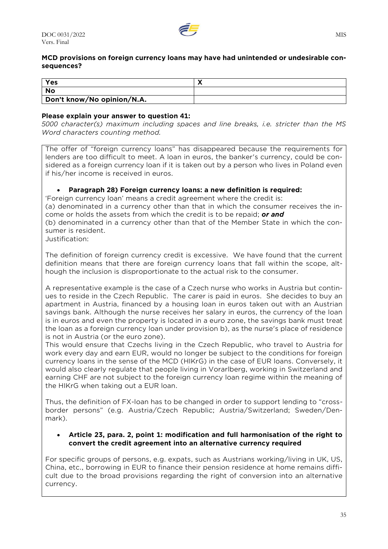

## **MCD provisions on foreign currency loans may have had unintended or undesirable consequences?**

| Yes                        |  |
|----------------------------|--|
| No                         |  |
| Don't know/No opinion/N.A. |  |

## **Please explain your answer to question 41:**

*5000 character(s) maximum including spaces and line breaks, i.e. stricter than the MS Word characters counting method.*

The offer of "foreign currency loans" has disappeared because the requirements for lenders are too difficult to meet. A loan in euros, the banker's currency, could be considered as a foreign currency loan if it is taken out by a person who lives in Poland even if his/her income is received in euros.

## • **Paragraph 28) Foreign currency loans: a new definition is required:**

'Foreign currency loan' means a credit agreement where the credit is: (a) denominated in a currency other than that in which the consumer receives the income or holds the assets from which the credit is to be repaid; *or and*

(b) denominated in a currency other than that of the Member State in which the consumer is resident.

Justification:

The definition of foreign currency credit is excessive. We have found that the current definition means that there are foreign currency loans that fall within the scope, although the inclusion is disproportionate to the actual risk to the consumer.

A representative example is the case of a Czech nurse who works in Austria but continues to reside in the Czech Republic. The carer is paid in euros. She decides to buy an apartment in Austria, financed by a housing loan in euros taken out with an Austrian savings bank. Although the nurse receives her salary in euros, the currency of the loan is in euros and even the property is located in a euro zone, the savings bank must treat the loan as a foreign currency loan under provision b), as the nurse's place of residence is not in Austria (or the euro zone).

This would ensure that Czechs living in the Czech Republic, who travel to Austria for work every day and earn EUR, would no longer be subject to the conditions for foreign currency loans in the sense of the MCD (HIKrG) in the case of EUR loans. Conversely, it would also clearly regulate that people living in Vorarlberg, working in Switzerland and earning CHF are not subject to the foreign currency loan regime within the meaning of the HIKrG when taking out a EUR loan.

Thus, the definition of FX-loan has to be changed in order to support lending to "crossborder persons" (e.g. Austria/Czech Republic; Austria/Switzerland; Sweden/Denmark).

## • **Article 23, para. 2, point 1: modification and full harmonisation of the right to convert the credit agreement into an alternative currency required**

For specific groups of persons, e.g. expats, such as Austrians working/living in UK, US, China, etc., borrowing in EUR to finance their pension residence at home remains difficult due to the broad provisions regarding the right of conversion into an alternative currency.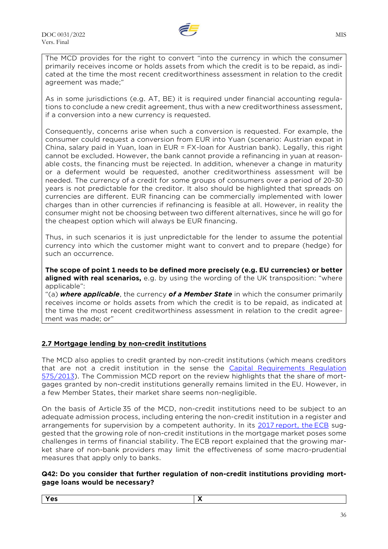

The MCD provides for the right to convert "into the currency in which the consumer primarily receives income or holds assets from which the credit is to be repaid, as indicated at the time the most recent creditworthiness assessment in relation to the credit agreement was made;"

As in some jurisdictions (e.g. AT, BE) it is required under financial accounting regulations to conclude a new credit agreement, thus with a new creditworthiness assessment, if a conversion into a new currency is requested.

Consequently, concerns arise when such a conversion is requested. For example, the consumer could request a conversion from EUR into Yuan (scenario: Austrian expat in China, salary paid in Yuan, loan in EUR = FX-loan for Austrian bank). Legally, this right cannot be excluded. However, the bank cannot provide a refinancing in yuan at reasonable costs, the financing must be rejected. In addition, whenever a change in maturity or a deferment would be requested, another creditworthiness assessment will be needed. The currency of a credit for some groups of consumers over a period of 20-30 years is not predictable for the creditor. It also should be highlighted that spreads on currencies are different. EUR financing can be commercially implemented with lower charges than in other currencies if refinancing is feasible at all. However, in reality the consumer might not be choosing between two different alternatives, since he will go for the cheapest option which will always be EUR financing.

Thus, in such scenarios it is just unpredictable for the lender to assume the potential currency into which the customer might want to convert and to prepare (hedge) for such an occurrence.

**The scope of point 1 needs to be defined more precisely (e.g. EU currencies) or better aligned with real scenarios,** e.g. by using the wording of the UK transposition: "where applicable":

"(a) *where applicable*, the currency *of a Member State* in which the consumer primarily receives income or holds assets from which the credit is to be repaid, as indicated at the time the most recent creditworthiness assessment in relation to the credit agreement was made; or"

## **2.7 Mortgage lending by non-credit institutions**

The MCD also applies to credit granted by non-credit institutions (which means creditors that are not a credit institution in the sense the [Capital Requirements Regulation](https://eur-lex.europa.eu/legal-content/EN/TXT/?uri=CELEX:32013R0575) [575/2013\)](https://eur-lex.europa.eu/legal-content/EN/TXT/?uri=CELEX:32013R0575). The Commission MCD report on the review highlights that the share of mortgages granted by non-credit institutions generally remains limited in the EU. However, in a few Member States, their market share seems non-negligible.

On the basis of Article 35 of the MCD, non-credit institutions need to be subject to an adequate admission process, including entering the non-credit institution in a register and arrangements for supervision by a competent authority. In its 2017 [report, the](https://www.ecb.europa.eu/pub/pdf/fsr/financialstabilityreview201705.en.pdf) ECB suggested that the growing role of non-credit institutions in the mortgage market poses some challenges in terms of financial stability. The ECB report explained that the growing market share of non-bank providers may limit the effectiveness of some macro-prudential measures that apply only to banks.

## **Q42: Do you consider that further regulation of non-credit institutions providing mortgage loans would be necessary?**

**Yes X**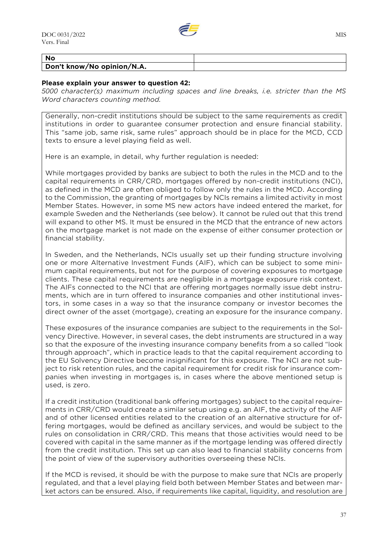

#### **No Don't know/No opinion/N.A.**

#### **Please explain your answer to question 42:**

*5000 character(s) maximum including spaces and line breaks, i.e. stricter than the MS Word characters counting method.*

Generally, non-credit institutions should be subject to the same requirements as credit institutions in order to guarantee consumer protection and ensure financial stability. This "same job, same risk, same rules" approach should be in place for the MCD, CCD texts to ensure a level playing field as well.

Here is an example, in detail, why further regulation is needed:

While mortgages provided by banks are subject to both the rules in the MCD and to the capital requirements in CRR/CRD, mortgages offered by non-credit institutions (NCI), as defined in the MCD are often obliged to follow only the rules in the MCD. According to the Commission, the granting of mortgages by NCIs remains a limited activity in most Member States. However, in some MS new actors have indeed entered the market, for example Sweden and the Netherlands (see below). It cannot be ruled out that this trend will expand to other MS. It must be ensured in the MCD that the entrance of new actors on the mortgage market is not made on the expense of either consumer protection or financial stability.

In Sweden, and the Netherlands, NCIs usually set up their funding structure involving one or more Alternative Investment Funds (AIF), which can be subject to some minimum capital requirements, but not for the purpose of covering exposures to mortgage clients. These capital requirements are negligible in a mortgage exposure risk context. The AIFs connected to the NCI that are offering mortgages normally issue debt instruments, which are in turn offered to insurance companies and other institutional investors, in some cases in a way so that the insurance company or investor becomes the direct owner of the asset (mortgage), creating an exposure for the insurance company.

These exposures of the insurance companies are subject to the requirements in the Solvency Directive. However, in several cases, the debt instruments are structured in a way so that the exposure of the investing insurance company benefits from a so called "look through approach", which in practice leads to that the capital requirement according to the EU Solvency Directive become insignificant for this exposure. The NCI are not subject to risk retention rules, and the capital requirement for credit risk for insurance companies when investing in mortgages is, in cases where the above mentioned setup is used, is zero.

If a credit institution (traditional bank offering mortgages) subject to the capital requirements in CRR/CRD would create a similar setup using e.g. an AIF, the activity of the AIF and of other licensed entities related to the creation of an alternative structure for offering mortgages, would be defined as ancillary services, and would be subject to the rules on consolidation in CRR/CRD. This means that those activities would need to be covered with capital in the same manner as if the mortgage lending was offered directly from the credit institution. This set up can also lead to financial stability concerns from the point of view of the supervisory authorities overseeing these NCIs.

If the MCD is revised, it should be with the purpose to make sure that NCIs are properly regulated, and that a level playing field both between Member States and between market actors can be ensured. Also, if requirements like capital, liquidity, and resolution are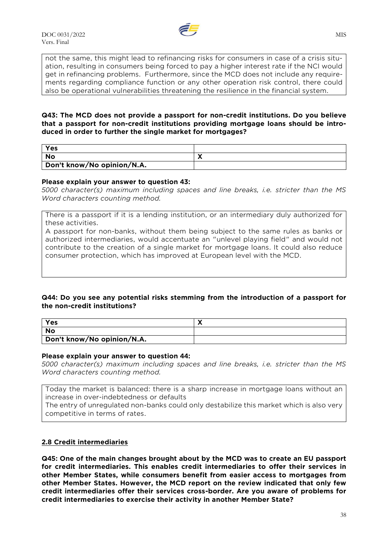

not the same, this might lead to refinancing risks for consumers in case of a crisis situation, resulting in consumers being forced to pay a higher interest rate if the NCI would get in refinancing problems. Furthermore, since the MCD does not include any requirements regarding compliance function or any other operation risk control, there could also be operational vulnerabilities threatening the resilience in the financial system.

## **Q43: The MCD does not provide a passport for non-credit institutions. Do you believe that a passport for non-credit institutions providing mortgage loans should be introduced in order to further the single market for mortgages?**

| Yes                        |  |
|----------------------------|--|
| No                         |  |
| Don't know/No opinion/N.A. |  |

#### **Please explain your answer to question 43:**

*5000 character(s) maximum including spaces and line breaks, i.e. stricter than the MS Word characters counting method.*

There is a passport if it is a lending institution, or an intermediary duly authorized for these activities.

A passport for non-banks, without them being subject to the same rules as banks or authorized intermediaries, would accentuate an "unlevel playing field" and would not contribute to the creation of a single market for mortgage loans. It could also reduce consumer protection, which has improved at European level with the MCD.

## **Q44: Do you see any potential risks stemming from the introduction of a passport for the non-credit institutions?**

| Yes                        |  |
|----------------------------|--|
| <b>No</b>                  |  |
| Don't know/No opinion/N.A. |  |

#### **Please explain your answer to question 44:**

*5000 character(s) maximum including spaces and line breaks, i.e. stricter than the MS Word characters counting method.*

Today the market is balanced: there is a sharp increase in mortgage loans without an increase in over-indebtedness or defaults

The entry of unregulated non-banks could only destabilize this market which is also very competitive in terms of rates.

## **2.8 Credit intermediaries**

**Q45: One of the main changes brought about by the MCD was to create an EU passport for credit intermediaries. This enables credit intermediaries to offer their services in other Member States, while consumers benefit from easier access to mortgages from other Member States. However, the MCD report on the review indicated that only few credit intermediaries offer their services cross-border. Are you aware of problems for credit intermediaries to exercise their activity in another Member State?**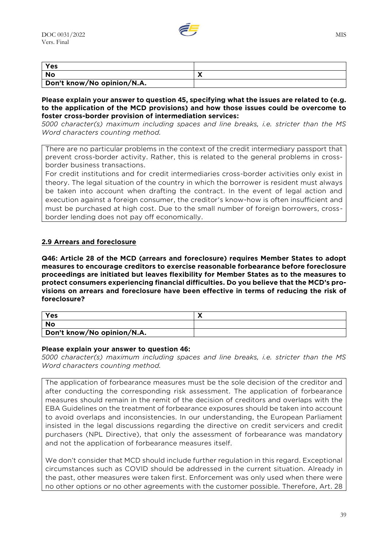

| Yes                        |  |
|----------------------------|--|
| <b>No</b>                  |  |
| Don't know/No opinion/N.A. |  |

#### **Please explain your answer to question 45, specifying what the issues are related to (e.g. to the application of the MCD provisions) and how those issues could be overcome to foster cross-border provision of intermediation services:**

*5000 character(s) maximum including spaces and line breaks, i.e. stricter than the MS Word characters counting method.*

There are no particular problems in the context of the credit intermediary passport that prevent cross-border activity. Rather, this is related to the general problems in crossborder business transactions.

For credit institutions and for credit intermediaries cross-border activities only exist in theory. The legal situation of the country in which the borrower is resident must always be taken into account when drafting the contract. In the event of legal action and execution against a foreign consumer, the creditor's know-how is often insufficient and must be purchased at high cost. Due to the small number of foreign borrowers, crossborder lending does not pay off economically.

## **2.9 Arrears and foreclosure**

**Q46: Article 28 of the MCD (arrears and foreclosure) requires Member States to adopt measures to encourage creditors to exercise reasonable forbearance before foreclosure proceedings are initiated but leaves flexibility for Member States as to the measures to protect consumers experiencing financial difficulties. Do you believe that the MCD's provisions on arrears and foreclosure have been effective in terms of reducing the risk of foreclosure?**

| Yes                        |  |
|----------------------------|--|
| No                         |  |
| Don't know/No opinion/N.A. |  |

#### **Please explain your answer to question 46:**

*5000 character(s) maximum including spaces and line breaks, i.e. stricter than the MS Word characters counting method.*

The application of forbearance measures must be the sole decision of the creditor and after conducting the corresponding risk assessment. The application of forbearance measures should remain in the remit of the decision of creditors and overlaps with the EBA Guidelines on the treatment of forbearance exposures should be taken into account to avoid overlaps and inconsistencies. In our understanding, the European Parliament insisted in the legal discussions regarding the directive on credit servicers and credit purchasers (NPL Directive), that only the assessment of forbearance was mandatory and not the application of forbearance measures itself.

We don't consider that MCD should include further regulation in this regard. Exceptional circumstances such as COVID should be addressed in the current situation. Already in the past, other measures were taken first. Enforcement was only used when there were no other options or no other agreements with the customer possible. Therefore, Art. 28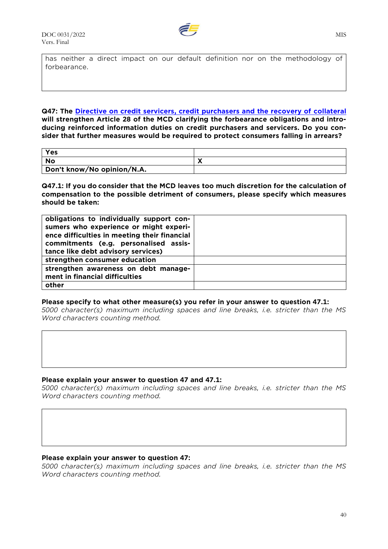

has neither a direct impact on our default definition nor on the methodology of forbearance.

**Q47: The [Directive on credit servicers, credit purchasers and the recovery of collateral](https://data.consilium.europa.eu/doc/document/ST-10268-2021-INIT/en/pdf) will strengthen Article 28 of the MCD clarifying the forbearance obligations and introducing reinforced information duties on credit purchasers and servicers. Do you consider that further measures would be required to protect consumers falling in arrears?**

| Yes                        |  |
|----------------------------|--|
| No                         |  |
| Don't know/No opinion/N.A. |  |

**Q47.1: If you do consider that the MCD leaves too much discretion for the calculation of compensation to the possible detriment of consumers, please specify which measures should be taken:**

| obligations to individually support con-     |  |
|----------------------------------------------|--|
| sumers who experience or might experi-       |  |
| ence difficulties in meeting their financial |  |
| commitments (e.g. personalised assis-        |  |
| tance like debt advisory services)           |  |
| strengthen consumer education                |  |
| strengthen awareness on debt manage-         |  |
| ment in financial difficulties               |  |
| other                                        |  |

#### **Please specify to what other measure(s) you refer in your answer to question 47.1:**

*5000 character(s) maximum including spaces and line breaks, i.e. stricter than the MS Word characters counting method.*

#### **Please explain your answer to question 47 and 47.1:**

*5000 character(s) maximum including spaces and line breaks, i.e. stricter than the MS Word characters counting method.*

### **Please explain your answer to question 47:**

*5000 character(s) maximum including spaces and line breaks, i.e. stricter than the MS Word characters counting method.*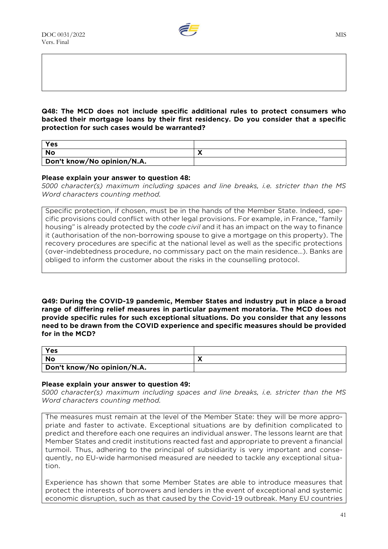

#### **Q48: The MCD does not include specific additional rules to protect consumers who backed their mortgage loans by their first residency. Do you consider that a specific protection for such cases would be warranted?**

| Yes                        |  |
|----------------------------|--|
| No                         |  |
| Don't know/No opinion/N.A. |  |

## **Please explain your answer to question 48:**

*5000 character(s) maximum including spaces and line breaks, i.e. stricter than the MS Word characters counting method.*

Specific protection, if chosen, must be in the hands of the Member State. Indeed, specific provisions could conflict with other legal provisions. For example, in France, "family housing" is already protected by the *code civil* and it has an impact on the way to finance it (authorisation of the non-borrowing spouse to give a mortgage on this property). The recovery procedures are specific at the national level as well as the specific protections (over-indebtedness procedure, no commissary pact on the main residence…). Banks are obliged to inform the customer about the risks in the counselling protocol.

**Q49: During the COVID-19 pandemic, Member States and industry put in place a broad range of differing relief measures in particular payment moratoria. The MCD does not provide specific rules for such exceptional situations. Do you consider that any lessons need to be drawn from the COVID experience and specific measures should be provided for in the MCD?**

| Yes                        |  |
|----------------------------|--|
| <b>No</b>                  |  |
| Don't know/No opinion/N.A. |  |

## **Please explain your answer to question 49:**

*5000 character(s) maximum including spaces and line breaks, i.e. stricter than the MS Word characters counting method.*

The measures must remain at the level of the Member State: they will be more appropriate and faster to activate. Exceptional situations are by definition complicated to predict and therefore each one requires an individual answer. The lessons learnt are that Member States and credit institutions reacted fast and appropriate to prevent a financial turmoil. Thus, adhering to the principal of subsidiarity is very important and consequently, no EU-wide harmonised measured are needed to tackle any exceptional situation.

Experience has shown that some Member States are able to introduce measures that protect the interests of borrowers and lenders in the event of exceptional and systemic economic disruption, such as that caused by the Covid-19 outbreak. Many EU countries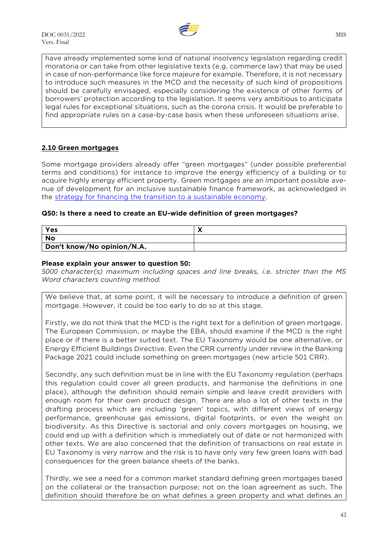

have already implemented some kind of national insolvency legislation regarding credit moratoria or can take from other legislative texts (e.g. commerce law) that may be used in case of non-performance like force majeure for example. Therefore, it is not necessary to introduce such measures in the MCD and the necessity of such kind of propositions should be carefully envisaged, especially considering the existence of other forms of borrowers' protection according to the legislation. It seems very ambitious to anticipate legal rules for exceptional situations, such as the corona crisis. It would be preferable to find appropriate rules on a case-by-case basis when these unforeseen situations arise.

## **2.10 Green mortgages**

Some mortgage providers already offer "green mortgages" (under possible preferential terms and conditions) for instance to improve the energy efficiency of a building or to acquire highly energy efficient property. Green mortgages are an important possible avenue of development for an inclusive sustainable finance framework, as acknowledged in the [strategy for financing the transition to a sustainable economy.](https://eur-lex.europa.eu/legal-content/EN/TXT/?uri=CELEX:52021DC0390)

## **Q50: Is there a need to create an EU-wide definition of green mortgages?**

| Yes                        |  |
|----------------------------|--|
| <b>No</b>                  |  |
| Don't know/No opinion/N.A. |  |

## **Please explain your answer to question 50:**

*5000 character(s) maximum including spaces and line breaks, i.e. stricter than the MS Word characters counting method.*

We believe that, at some point, it will be necessary to introduce a definition of green mortgage. However, it could be too early to do so at this stage.

Firstly, we do not think that the MCD is the right text for a definition of green mortgage. The European Commission, or maybe the EBA, should examine if the MCD is the right place or if there is a better suited text. The EU Taxonomy would be one alternative, or Energy Efficient Buildings Directive. Even the CRR currently under review in the Banking Package 2021 could include something on green mortgages (new article 501 CRR).

Secondly, any such definition must be in line with the EU Taxonomy regulation (perhaps this regulation could cover all green products, and harmonise the definitions in one place), although the definition should remain simple and leave credit providers with enough room for their own product design. There are also a lot of other texts in the drafting process which are including 'green' topics, with different views of energy performance, greenhouse gas emissions, digital footprints, or even the weight on biodiversity. As this Directive is sectorial and only covers mortgages on housing, we could end up with a definition which is immediately out of date or not harmonized with other texts. We are also concerned that the definition of transactions on real estate in EU Taxonomy is very narrow and the risk is to have only very few green loans with bad consequences for the green balance sheets of the banks.

Thirdly, we see a need for a common market standard defining green mortgages based on the collateral or the transaction purpose; not on the loan agreement as such. The definition should therefore be on what defines a green property and what defines an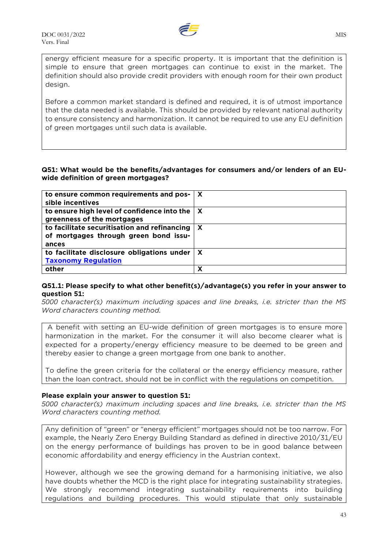

energy efficient measure for a specific property. It is important that the definition is simple to ensure that green mortgages can continue to exist in the market. The definition should also provide credit providers with enough room for their own product design.

Before a common market standard is defined and required, it is of utmost importance that the data needed is available. This should be provided by relevant national authority to ensure consistency and harmonization. It cannot be required to use any EU definition of green mortgages until such data is available.

## **Q51: What would be the benefits/advantages for consumers and/or lenders of an EUwide definition of green mortgages?**

| to ensure common requirements and pos- $\vert$ X            |   |
|-------------------------------------------------------------|---|
| sible incentives                                            |   |
| to ensure high level of confidence into the $\vert X \vert$ |   |
| greenness of the mortgages                                  |   |
| to facilitate securitisation and refinancing                | X |
| of mortgages through green bond issu-                       |   |
| ances                                                       |   |
| to facilitate disclosure obligations under                  | X |
| <b>Taxonomy Regulation</b>                                  |   |
| other                                                       | х |

#### **Q51.1: Please specify to what other benefit(s)/advantage(s) you refer in your answer to question 51:**

*5000 character(s) maximum including spaces and line breaks, i.e. stricter than the MS Word characters counting method.*

A benefit with setting an EU-wide definition of green mortgages is to ensure more harmonization in the market. For the consumer it will also become clearer what is expected for a property/energy efficiency measure to be deemed to be green and thereby easier to change a green mortgage from one bank to another.

To define the green criteria for the collateral or the energy efficiency measure, rather than the loan contract, should not be in conflict with the regulations on competition.

## **Please explain your answer to question 51:**

*5000 character(s) maximum including spaces and line breaks, i.e. stricter than the MS Word characters counting method.*

Any definition of "green" or "energy efficient" mortgages should not be too narrow. For example, the Nearly Zero Energy Building Standard as defined in directive 2010/31/EU on the energy performance of buildings has proven to be in good balance between economic affordability and energy efficiency in the Austrian context.

However, although we see the growing demand for a harmonising initiative, we also have doubts whether the MCD is the right place for integrating sustainability strategies. We strongly recommend integrating sustainability requirements into building regulations and building procedures. This would stipulate that only sustainable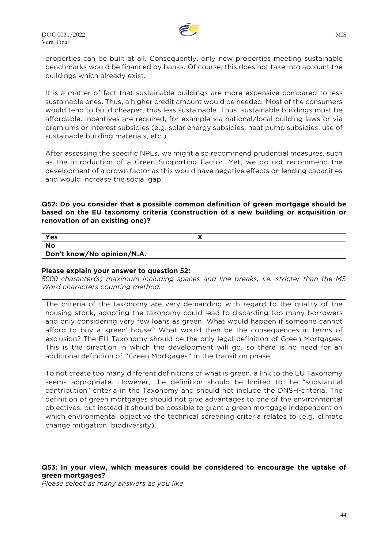

properties can be built at all. Consequently, only new properties meeting sustainable benchmarks would be financed by banks. Of course, this does not take into account the buildings which already exist.

It is a matter of fact that sustainable buildings are more expensive compared to less sustainable ones. Thus, a higher credit amount would be needed. Most of the consumers would tend to build cheaper, thus less sustainable. Thus, sustainable buildings must be affordable. Incentives are required, for example via national/local building laws or via premiums or interest subsidies (e.g. solar energy subsidies, heat pump subsidies, use of sustainable building materials, etc.).

After assessing the specific NPLs, we might also recommend prudential measures, such as the introduction of a Green Supporting Factor. Yet, we do not recommend the development of a brown factor as this would have negative effects on lending capacities and would increase the social gap.

## **Q52: Do you consider that a possible common definition of green mortgage should be based on the EU taxonomy criteria (construction of a new building or acquisition or renovation of an existing one)?**

| Yes                        |  |
|----------------------------|--|
| <b>No</b>                  |  |
| Don't know/No opinion/N.A. |  |

## **Please explain your answer to question 52:**

*5000 character(s) maximum including spaces and line breaks, i.e. stricter than the MS Word characters counting method.*

The criteria of the taxonomy are very demanding with regard to the quality of the housing stock, adopting the taxonomy could lead to discarding too many borrowers and only considering very few loans as green. What would happen if someone cannot afford to buy a 'green' house? What would then be the consequences in terms of exclusion? The EU-Taxonomy should be the only legal definition of Green Mortgages. This is the direction in which the development will go, so there is no need for an additional definition of "Green Mortgages" in the transition phase.

To not create too many different definitions of what is green, a link to the EU Taxonomy seems appropriate. However, the definition should be limited to the "substantial contribution" criteria in the Taxonomy and should not include the DNSH-criteria. The definition of green mortgages should not give advantages to one of the environmental objectives, but instead it should be possible to grant a green mortgage independent on which environmental objective the technical screening criteria relates to (e.g. climate change mitigation, biodiversity).

## **Q53: In your view, which measures could be considered to encourage the uptake of green mortgages?**

*Please select as many answers as you like*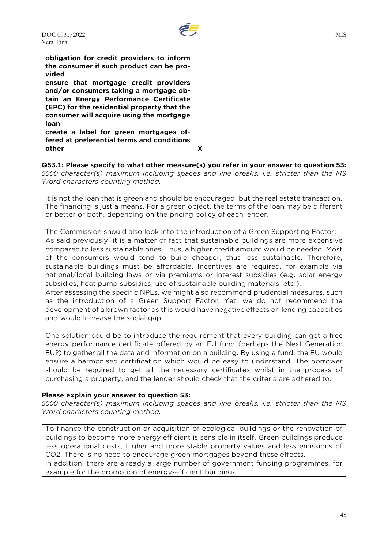

| obligation for credit providers to inform<br>the consumer if such product can be pro-<br>vided                                                                                                                               |   |
|------------------------------------------------------------------------------------------------------------------------------------------------------------------------------------------------------------------------------|---|
| ensure that mortgage credit providers<br>and/or consumers taking a mortgage ob-<br>tain an Energy Performance Certificate<br>(EPC) for the residential property that the<br>consumer will acquire using the mortgage<br>loan |   |
| create a label for green mortgages of-<br>fered at preferential terms and conditions                                                                                                                                         |   |
| other                                                                                                                                                                                                                        | х |

## **Q53.1: Please specify to what other measure(s) you refer in your answer to question 53:**

*5000 character(s) maximum including spaces and line breaks, i.e. stricter than the MS Word characters counting method.*

It is not the loan that is green and should be encouraged, but the real estate transaction. The financing is just a means. For a green object, the terms of the loan may be different or better or both, depending on the pricing policy of each lender.

The Commission should also look into the introduction of a Green Supporting Factor: As said previously, it is a matter of fact that sustainable buildings are more expensive compared to less sustainable ones. Thus, a higher credit amount would be needed. Most of the consumers would tend to build cheaper, thus less sustainable. Therefore, sustainable buildings must be affordable. Incentives are required, for example via national/local building laws or via premiums or interest subsidies (e.g. solar energy subsidies, heat pump subsidies, use of sustainable building materials, etc.).

After assessing the specific NPLs, we might also recommend prudential measures, such as the introduction of a Green Support Factor. Yet, we do not recommend the development of a brown factor as this would have negative effects on lending capacities and would increase the social gap.

One solution could be to introduce the requirement that every building can get a free energy performance certificate offered by an EU fund (perhaps the Next Generation EU?) to gather all the data and information on a building. By using a fund, the EU would ensure a harmonised certification which would be easy to understand. The borrower should be required to get all the necessary certificates whilst in the process of purchasing a property, and the lender should check that the criteria are adhered to.

## **Please explain your answer to question 53:**

*5000 character(s) maximum including spaces and line breaks, i.e. stricter than the MS Word characters counting method.*

To finance the construction or acquisition of ecological buildings or the renovation of buildings to become more energy efficient is sensible in itself. Green buildings produce less operational costs, higher and more stable property values and less emissions of CO2. There is no need to encourage green mortgages beyond these effects.

In addition, there are already a large number of government funding programmes, for example for the promotion of energy-efficient buildings.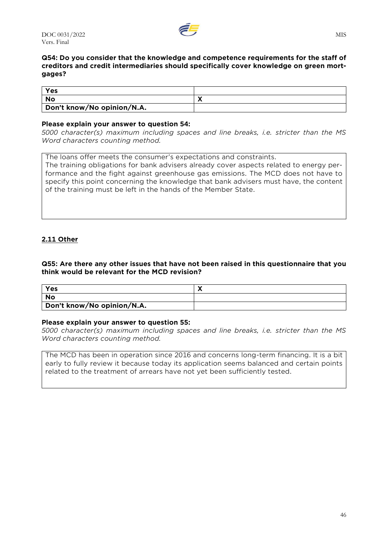

## **Q54: Do you consider that the knowledge and competence requirements for the staff of creditors and credit intermediaries should specifically cover knowledge on green mortgages?**

| Yes                        |                          |
|----------------------------|--------------------------|
| <b>No</b>                  | $\overline{\phantom{a}}$ |
| Don't know/No opinion/N.A. |                          |

## **Please explain your answer to question 54:**

*5000 character(s) maximum including spaces and line breaks, i.e. stricter than the MS Word characters counting method.*

The loans offer meets the consumer's expectations and constraints. The training obligations for bank advisers already cover aspects related to energy performance and the fight against greenhouse gas emissions. The MCD does not have to specify this point concerning the knowledge that bank advisers must have, the content of the training must be left in the hands of the Member State.

## **2.11 Other**

## **Q55: Are there any other issues that have not been raised in this questionnaire that you think would be relevant for the MCD revision?**

| Yes                        |  |
|----------------------------|--|
| No                         |  |
| Don't know/No opinion/N.A. |  |

#### **Please explain your answer to question 55:**

*5000 character(s) maximum including spaces and line breaks, i.e. stricter than the MS Word characters counting method.*

The MCD has been in operation since 2016 and concerns long-term financing. It is a bit early to fully review it because today its application seems balanced and certain points related to the treatment of arrears have not yet been sufficiently tested.